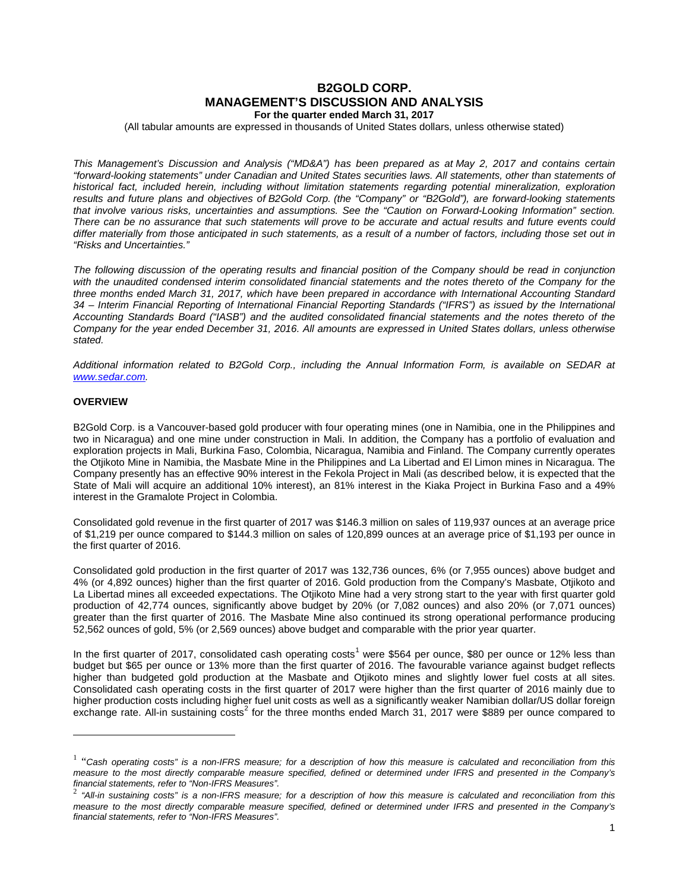# **B2GOLD CORP. MANAGEMENT'S DISCUSSION AND ANALYSIS For the quarter ended March 31, 2017**

(All tabular amounts are expressed in thousands of United States dollars, unless otherwise stated)

*This Management's Discussion and Analysis ("MD&A") has been prepared as at May 2, 2017 and contains certain "forward-looking statements" under Canadian and United States securities laws. All statements, other than statements of historical fact, included herein, including without limitation statements regarding potential mineralization, exploration results and future plans and objectives of B2Gold Corp. (the "Company" or "B2Gold"), are forward-looking statements that involve various risks, uncertainties and assumptions. See the "Caution on Forward-Looking Information" section. There can be no assurance that such statements will prove to be accurate and actual results and future events could differ materially from those anticipated in such statements, as a result of a number of factors, including those set out in "Risks and Uncertainties."*

*The following discussion of the operating results and financial position of the Company should be read in conjunction*  with the unaudited condensed interim consolidated financial statements and the notes thereto of the Company for the *three months ended March 31, 2017, which have been prepared in accordance with International Accounting Standard 34 – Interim Financial Reporting of International Financial Reporting Standards ("IFRS") as issued by the International Accounting Standards Board ("IASB") and the audited consolidated financial statements and the notes thereto of the Company for the year ended December 31, 2016. All amounts are expressed in United States dollars, unless otherwise stated.*

*Additional information related to B2Gold Corp., including the Annual Information Form, is available on SEDAR at [www.sedar.com.](http://www.sedar.com/)*

# **OVERVIEW**

-

B2Gold Corp. is a Vancouver-based gold producer with four operating mines (one in Namibia, one in the Philippines and two in Nicaragua) and one mine under construction in Mali. In addition, the Company has a portfolio of evaluation and exploration projects in Mali, Burkina Faso, Colombia, Nicaragua, Namibia and Finland. The Company currently operates the Otjikoto Mine in Namibia, the Masbate Mine in the Philippines and La Libertad and El Limon mines in Nicaragua. The Company presently has an effective 90% interest in the Fekola Project in Mali (as described below, it is expected that the State of Mali will acquire an additional 10% interest), an 81% interest in the Kiaka Project in Burkina Faso and a 49% interest in the Gramalote Project in Colombia.

Consolidated gold revenue in the first quarter of 2017 was \$146.3 million on sales of 119,937 ounces at an average price of \$1,219 per ounce compared to \$144.3 million on sales of 120,899 ounces at an average price of \$1,193 per ounce in the first quarter of 2016.

Consolidated gold production in the first quarter of 2017 was 132,736 ounces, 6% (or 7,955 ounces) above budget and 4% (or 4,892 ounces) higher than the first quarter of 2016. Gold production from the Company's Masbate, Otjikoto and La Libertad mines all exceeded expectations. The Otjikoto Mine had a very strong start to the year with first quarter gold production of 42,774 ounces, significantly above budget by 20% (or 7,082 ounces) and also 20% (or 7,071 ounces) greater than the first quarter of 2016. The Masbate Mine also continued its strong operational performance producing 52,562 ounces of gold, 5% (or 2,569 ounces) above budget and comparable with the prior year quarter.

In the first quarter of 20[1](#page-0-0)7, consolidated cash operating costs<sup>1</sup> were \$564 per ounce, \$80 per ounce or 12% less than budget but \$65 per ounce or 13% more than the first quarter of 2016. The favourable variance against budget reflects higher than budgeted gold production at the Masbate and Otjikoto mines and slightly lower fuel costs at all sites. Consolidated cash operating costs in the first quarter of 2017 were higher than the first quarter of 2016 mainly due to higher production costs including higher fuel unit costs as well as a significantly weaker Namibian dollar/US dollar foreign exchange rate. All-in sustaining costs<sup>[2](#page-0-1)</sup> for the three months ended March 31, 2017 were \$889 per ounce compared to

<span id="page-0-0"></span><sup>&</sup>lt;sup>1</sup> "Cash operating costs" is a non-IFRS measure; for a description of how this measure is calculated and reconciliation from this *measure to the most directly comparable measure specified, defined or determined under IFRS and presented in the Company's*

<span id="page-0-1"></span><sup>&</sup>lt;sup>2</sup> "All-in sustaining costs" is a non-IFRS measure; for a description of how this measure is calculated and reconciliation from this *measure to the most directly comparable measure specified, defined or determined under IFRS and presented in the Company's financial statements, refer to "Non-IFRS Measures".*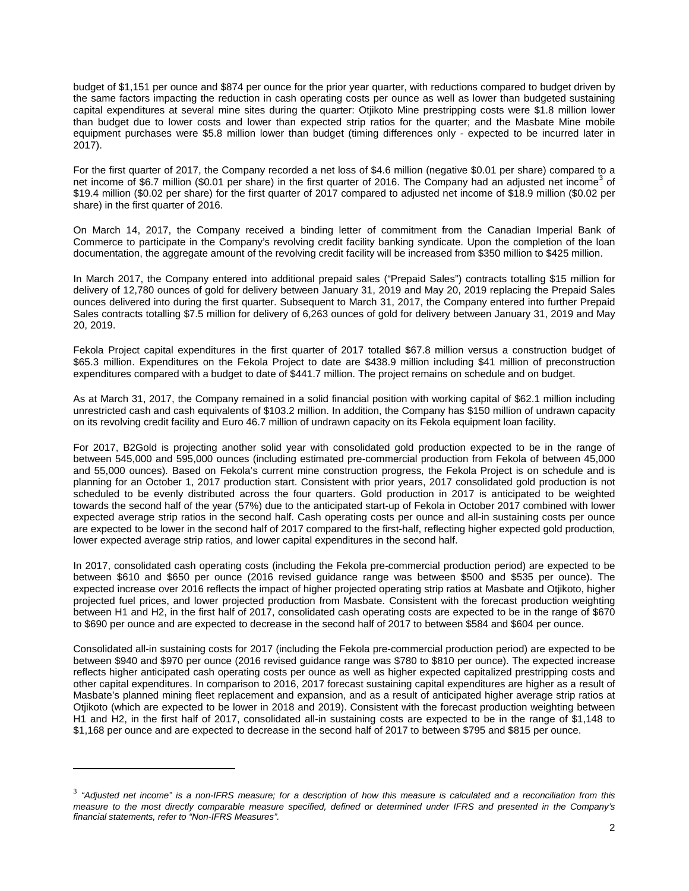budget of \$1,151 per ounce and \$874 per ounce for the prior year quarter, with reductions compared to budget driven by the same factors impacting the reduction in cash operating costs per ounce as well as lower than budgeted sustaining capital expenditures at several mine sites during the quarter: Otjikoto Mine prestripping costs were \$1.8 million lower than budget due to lower costs and lower than expected strip ratios for the quarter; and the Masbate Mine mobile equipment purchases were \$5.8 million lower than budget (timing differences only - expected to be incurred later in 2017).

For the first quarter of 2017, the Company recorded a net loss of \$4.6 million (negative \$0.01 per share) compared to a net income of \$6.7 million (\$0.01 per share) in the first quarter of 2016. The Company had an adjusted net income<sup>[3](#page-0-1)</sup> of \$19.4 million (\$0.02 per share) for the first quarter of 2017 compared to adjusted net income of \$18.9 million (\$0.02 per share) in the first quarter of 2016.

On March 14, 2017, the Company received a binding letter of commitment from the Canadian Imperial Bank of Commerce to participate in the Company's revolving credit facility banking syndicate. Upon the completion of the loan documentation, the aggregate amount of the revolving credit facility will be increased from \$350 million to \$425 million.

In March 2017, the Company entered into additional prepaid sales ("Prepaid Sales") contracts totalling \$15 million for delivery of 12,780 ounces of gold for delivery between January 31, 2019 and May 20, 2019 replacing the Prepaid Sales ounces delivered into during the first quarter. Subsequent to March 31, 2017, the Company entered into further Prepaid Sales contracts totalling \$7.5 million for delivery of 6,263 ounces of gold for delivery between January 31, 2019 and May 20, 2019.

Fekola Project capital expenditures in the first quarter of 2017 totalled \$67.8 million versus a construction budget of \$65.3 million. Expenditures on the Fekola Project to date are \$438.9 million including \$41 million of preconstruction expenditures compared with a budget to date of \$441.7 million. The project remains on schedule and on budget.

As at March 31, 2017, the Company remained in a solid financial position with working capital of \$62.1 million including unrestricted cash and cash equivalents of \$103.2 million. In addition, the Company has \$150 million of undrawn capacity on its revolving credit facility and Euro 46.7 million of undrawn capacity on its Fekola equipment loan facility.

For 2017, B2Gold is projecting another solid year with consolidated gold production expected to be in the range of between 545,000 and 595,000 ounces (including estimated pre-commercial production from Fekola of between 45,000 and 55,000 ounces). Based on Fekola's current mine construction progress, the Fekola Project is on schedule and is planning for an October 1, 2017 production start. Consistent with prior years, 2017 consolidated gold production is not scheduled to be evenly distributed across the four quarters. Gold production in 2017 is anticipated to be weighted towards the second half of the year (57%) due to the anticipated start-up of Fekola in October 2017 combined with lower expected average strip ratios in the second half. Cash operating costs per ounce and all-in sustaining costs per ounce are expected to be lower in the second half of 2017 compared to the first-half, reflecting higher expected gold production, lower expected average strip ratios, and lower capital expenditures in the second half.

In 2017, consolidated cash operating costs (including the Fekola pre-commercial production period) are expected to be between \$610 and \$650 per ounce (2016 revised guidance range was between \$500 and \$535 per ounce). The expected increase over 2016 reflects the impact of higher projected operating strip ratios at Masbate and Otjikoto, higher projected fuel prices, and lower projected production from Masbate. Consistent with the forecast production weighting between H1 and H2, in the first half of 2017, consolidated cash operating costs are expected to be in the range of \$670 to \$690 per ounce and are expected to decrease in the second half of 2017 to between \$584 and \$604 per ounce.

Consolidated all-in sustaining costs for 2017 (including the Fekola pre-commercial production period) are expected to be between \$940 and \$970 per ounce (2016 revised guidance range was \$780 to \$810 per ounce). The expected increase reflects higher anticipated cash operating costs per ounce as well as higher expected capitalized prestripping costs and other capital expenditures. In comparison to 2016, 2017 forecast sustaining capital expenditures are higher as a result of Masbate's planned mining fleet replacement and expansion, and as a result of anticipated higher average strip ratios at Otjikoto (which are expected to be lower in 2018 and 2019). Consistent with the forecast production weighting between H1 and H2, in the first half of 2017, consolidated all-in sustaining costs are expected to be in the range of \$1,148 to \$1,168 per ounce and are expected to decrease in the second half of 2017 to between \$795 and \$815 per ounce.

<u>.</u>

<sup>3</sup> *"Adjusted net income" is a non-IFRS measure; for a description of how this measure is calculated and a reconciliation from this measure to the most directly comparable measure specified, defined or determined under IFRS and presented in the Company's financial statements, refer to "Non-IFRS Measures".*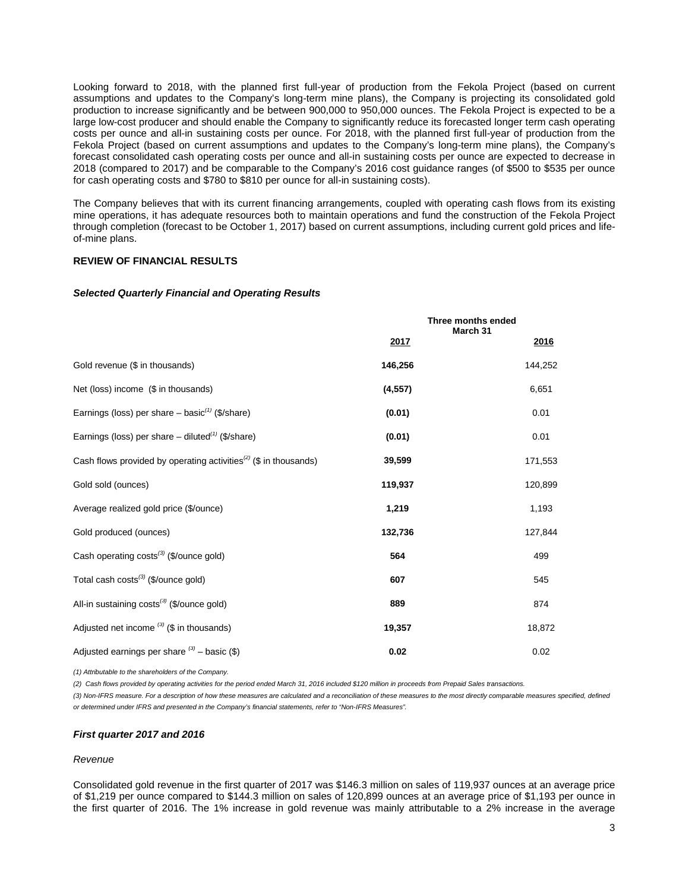Looking forward to 2018, with the planned first full-year of production from the Fekola Project (based on current assumptions and updates to the Company's long-term mine plans), the Company is projecting its consolidated gold production to increase significantly and be between 900,000 to 950,000 ounces. The Fekola Project is expected to be a large low-cost producer and should enable the Company to significantly reduce its forecasted longer term cash operating costs per ounce and all-in sustaining costs per ounce. For 2018, with the planned first full-year of production from the Fekola Project (based on current assumptions and updates to the Company's long-term mine plans), the Company's forecast consolidated cash operating costs per ounce and all-in sustaining costs per ounce are expected to decrease in 2018 (compared to 2017) and be comparable to the Company's 2016 cost guidance ranges (of \$500 to \$535 per ounce for cash operating costs and \$780 to \$810 per ounce for all-in sustaining costs).

The Company believes that with its current financing arrangements, coupled with operating cash flows from its existing mine operations, it has adequate resources both to maintain operations and fund the construction of the Fekola Project through completion (forecast to be October 1, 2017) based on current assumptions, including current gold prices and lifeof-mine plans.

### **REVIEW OF FINANCIAL RESULTS**

#### *Selected Quarterly Financial and Operating Results*

|                                                                              |          | Three months ended<br>March 31 |
|------------------------------------------------------------------------------|----------|--------------------------------|
|                                                                              | 2017     | 2016                           |
| Gold revenue (\$ in thousands)                                               | 146,256  | 144,252                        |
| Net (loss) income (\$ in thousands)                                          | (4, 557) | 6,651                          |
| Earnings (loss) per share $-$ basic <sup>(1)</sup> (\$/share)                | (0.01)   | 0.01                           |
| Earnings (loss) per share $-$ diluted <sup>(1)</sup> (\$/share)              | (0.01)   | 0.01                           |
| Cash flows provided by operating activities <sup>(2)</sup> (\$ in thousands) | 39,599   | 171,553                        |
| Gold sold (ounces)                                                           | 119,937  | 120,899                        |
| Average realized gold price (\$/ounce)                                       | 1,219    | 1,193                          |
| Gold produced (ounces)                                                       | 132,736  | 127,844                        |
| Cash operating costs <sup>(3)</sup> (\$/ounce gold)                          | 564      | 499                            |
| Total cash costs <sup>(3)</sup> (\$/ounce gold)                              | 607      | 545                            |
| All-in sustaining costs <sup>(3)</sup> (\$/ounce gold)                       | 889      | 874                            |
| Adjusted net income $(3)$ (\$ in thousands)                                  | 19,357   | 18,872                         |
| Adjusted earnings per share $(3)$ – basic (\$)                               | 0.02     | 0.02                           |

*(1) Attributable to the shareholders of the Company.*

*(2) Cash flows provided by operating activities for the period ended March 31, 2016 included \$120 million in proceeds from Prepaid Sales transactions.*

*(3) Non-IFRS measure. For a description of how these measures are calculated and a reconciliation of these measures to the most directly comparable measures specified, defined or determined under IFRS and presented in the Company's financial statements, refer to "Non-IFRS Measures".*

#### *First quarter 2017 and 2016*

#### *Revenue*

Consolidated gold revenue in the first quarter of 2017 was \$146.3 million on sales of 119,937 ounces at an average price of \$1,219 per ounce compared to \$144.3 million on sales of 120,899 ounces at an average price of \$1,193 per ounce in the first quarter of 2016. The 1% increase in gold revenue was mainly attributable to a 2% increase in the average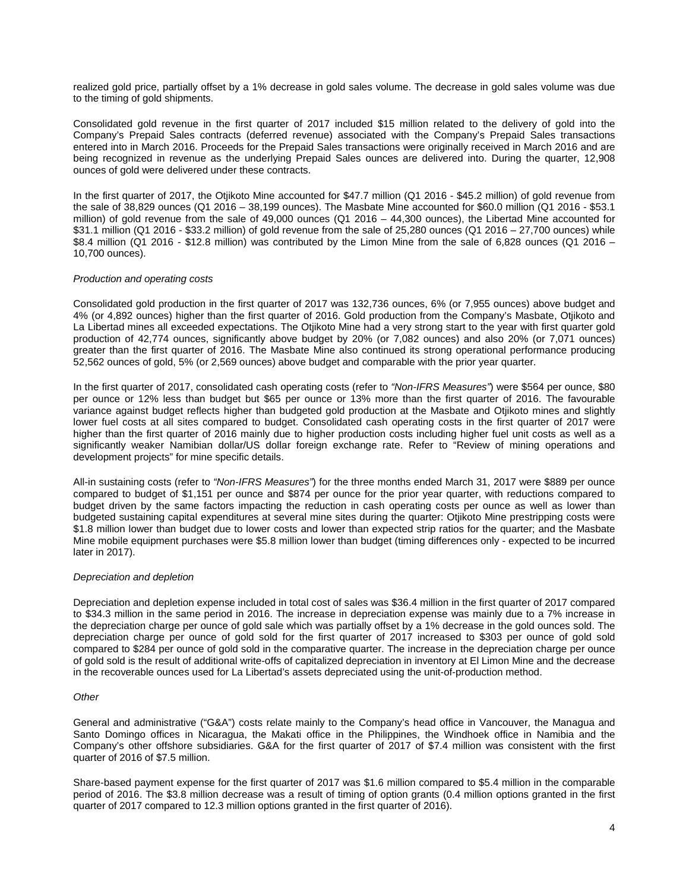realized gold price, partially offset by a 1% decrease in gold sales volume. The decrease in gold sales volume was due to the timing of gold shipments.

Consolidated gold revenue in the first quarter of 2017 included \$15 million related to the delivery of gold into the Company's Prepaid Sales contracts (deferred revenue) associated with the Company's Prepaid Sales transactions entered into in March 2016. Proceeds for the Prepaid Sales transactions were originally received in March 2016 and are being recognized in revenue as the underlying Prepaid Sales ounces are delivered into. During the quarter, 12,908 ounces of gold were delivered under these contracts.

In the first quarter of 2017, the Otjikoto Mine accounted for \$47.7 million (Q1 2016 - \$45.2 million) of gold revenue from the sale of 38,829 ounces (Q1 2016 – 38,199 ounces). The Masbate Mine accounted for \$60.0 million (Q1 2016 - \$53.1 million) of gold revenue from the sale of 49,000 ounces (Q1 2016 – 44,300 ounces), the Libertad Mine accounted for \$31.1 million (Q1 2016 - \$33.2 million) of gold revenue from the sale of 25,280 ounces (Q1 2016 – 27,700 ounces) while \$8.4 million (Q1 2016 - \$12.8 million) was contributed by the Limon Mine from the sale of 6,828 ounces (Q1 2016 – 10,700 ounces).

### *Production and operating costs*

Consolidated gold production in the first quarter of 2017 was 132,736 ounces, 6% (or 7,955 ounces) above budget and 4% (or 4,892 ounces) higher than the first quarter of 2016. Gold production from the Company's Masbate, Otjikoto and La Libertad mines all exceeded expectations. The Otjikoto Mine had a very strong start to the year with first quarter gold production of 42,774 ounces, significantly above budget by 20% (or 7,082 ounces) and also 20% (or 7,071 ounces) greater than the first quarter of 2016. The Masbate Mine also continued its strong operational performance producing 52,562 ounces of gold, 5% (or 2,569 ounces) above budget and comparable with the prior year quarter.

In the first quarter of 2017, consolidated cash operating costs (refer to *"Non-IFRS Measures"*) were \$564 per ounce, \$80 per ounce or 12% less than budget but \$65 per ounce or 13% more than the first quarter of 2016. The favourable variance against budget reflects higher than budgeted gold production at the Masbate and Otjikoto mines and slightly lower fuel costs at all sites compared to budget. Consolidated cash operating costs in the first quarter of 2017 were higher than the first quarter of 2016 mainly due to higher production costs including higher fuel unit costs as well as a significantly weaker Namibian dollar/US dollar foreign exchange rate. Refer to "Review of mining operations and development projects" for mine specific details.

All-in sustaining costs (refer to *"Non-IFRS Measures"*) for the three months ended March 31, 2017 were \$889 per ounce compared to budget of \$1,151 per ounce and \$874 per ounce for the prior year quarter, with reductions compared to budget driven by the same factors impacting the reduction in cash operating costs per ounce as well as lower than budgeted sustaining capital expenditures at several mine sites during the quarter: Otjikoto Mine prestripping costs were \$1.8 million lower than budget due to lower costs and lower than expected strip ratios for the quarter; and the Masbate Mine mobile equipment purchases were \$5.8 million lower than budget (timing differences only - expected to be incurred later in 2017).

#### *Depreciation and depletion*

Depreciation and depletion expense included in total cost of sales was \$36.4 million in the first quarter of 2017 compared to \$34.3 million in the same period in 2016. The increase in depreciation expense was mainly due to a 7% increase in the depreciation charge per ounce of gold sale which was partially offset by a 1% decrease in the gold ounces sold. The depreciation charge per ounce of gold sold for the first quarter of 2017 increased to \$303 per ounce of gold sold compared to \$284 per ounce of gold sold in the comparative quarter. The increase in the depreciation charge per ounce of gold sold is the result of additional write-offs of capitalized depreciation in inventory at El Limon Mine and the decrease in the recoverable ounces used for La Libertad's assets depreciated using the unit-of-production method.

#### *Other*

General and administrative ("G&A") costs relate mainly to the Company's head office in Vancouver, the Managua and Santo Domingo offices in Nicaragua, the Makati office in the Philippines, the Windhoek office in Namibia and the Company's other offshore subsidiaries. G&A for the first quarter of 2017 of \$7.4 million was consistent with the first quarter of 2016 of \$7.5 million.

Share-based payment expense for the first quarter of 2017 was \$1.6 million compared to \$5.4 million in the comparable period of 2016. The \$3.8 million decrease was a result of timing of option grants (0.4 million options granted in the first quarter of 2017 compared to 12.3 million options granted in the first quarter of 2016).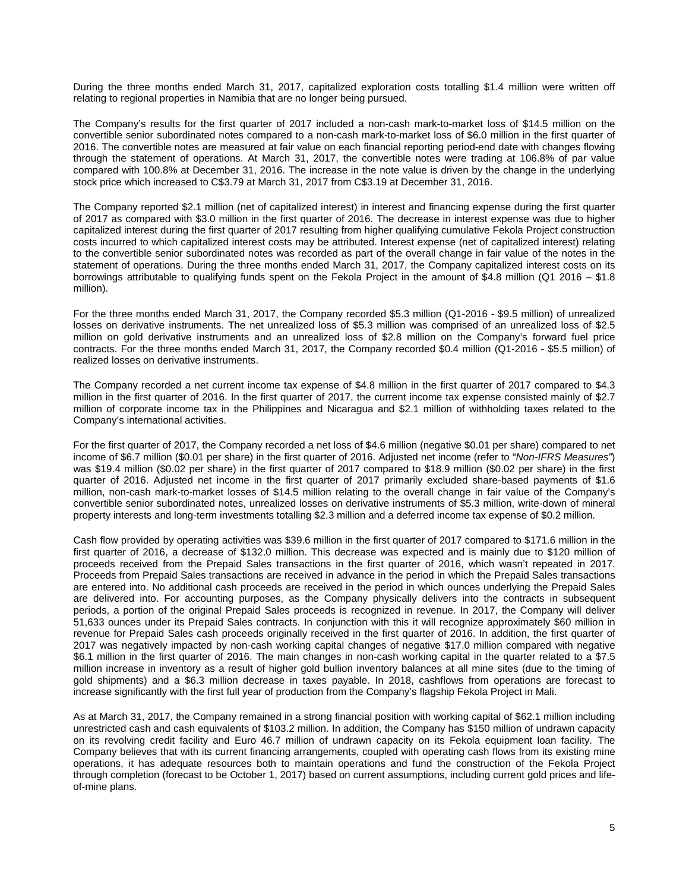During the three months ended March 31, 2017, capitalized exploration costs totalling \$1.4 million were written off relating to regional properties in Namibia that are no longer being pursued.

The Company's results for the first quarter of 2017 included a non-cash mark-to-market loss of \$14.5 million on the convertible senior subordinated notes compared to a non-cash mark-to-market loss of \$6.0 million in the first quarter of 2016. The convertible notes are measured at fair value on each financial reporting period-end date with changes flowing through the statement of operations. At March 31, 2017, the convertible notes were trading at 106.8% of par value compared with 100.8% at December 31, 2016. The increase in the note value is driven by the change in the underlying stock price which increased to C\$3.79 at March 31, 2017 from C\$3.19 at December 31, 2016.

The Company reported \$2.1 million (net of capitalized interest) in interest and financing expense during the first quarter of 2017 as compared with \$3.0 million in the first quarter of 2016. The decrease in interest expense was due to higher capitalized interest during the first quarter of 2017 resulting from higher qualifying cumulative Fekola Project construction costs incurred to which capitalized interest costs may be attributed. Interest expense (net of capitalized interest) relating to the convertible senior subordinated notes was recorded as part of the overall change in fair value of the notes in the statement of operations. During the three months ended March 31, 2017, the Company capitalized interest costs on its borrowings attributable to qualifying funds spent on the Fekola Project in the amount of \$4.8 million (Q1 2016 – \$1.8 million).

For the three months ended March 31, 2017, the Company recorded \$5.3 million (Q1-2016 - \$9.5 million) of unrealized losses on derivative instruments. The net unrealized loss of \$5.3 million was comprised of an unrealized loss of \$2.5 million on gold derivative instruments and an unrealized loss of \$2.8 million on the Company's forward fuel price contracts. For the three months ended March 31, 2017, the Company recorded \$0.4 million (Q1-2016 - \$5.5 million) of realized losses on derivative instruments.

The Company recorded a net current income tax expense of \$4.8 million in the first quarter of 2017 compared to \$4.3 million in the first quarter of 2016. In the first quarter of 2017, the current income tax expense consisted mainly of \$2.7 million of corporate income tax in the Philippines and Nicaragua and \$2.1 million of withholding taxes related to the Company's international activities.

For the first quarter of 2017, the Company recorded a net loss of \$4.6 million (negative \$0.01 per share) compared to net income of \$6.7 million (\$0.01 per share) in the first quarter of 2016. Adjusted net income (refer to "*Non-IFRS Measures"*) was \$19.4 million (\$0.02 per share) in the first quarter of 2017 compared to \$18.9 million (\$0.02 per share) in the first quarter of 2016. Adjusted net income in the first quarter of 2017 primarily excluded share-based payments of \$1.6 million, non-cash mark-to-market losses of \$14.5 million relating to the overall change in fair value of the Company's convertible senior subordinated notes, unrealized losses on derivative instruments of \$5.3 million, write-down of mineral property interests and long-term investments totalling \$2.3 million and a deferred income tax expense of \$0.2 million.

Cash flow provided by operating activities was \$39.6 million in the first quarter of 2017 compared to \$171.6 million in the first quarter of 2016, a decrease of \$132.0 million. This decrease was expected and is mainly due to \$120 million of proceeds received from the Prepaid Sales transactions in the first quarter of 2016, which wasn't repeated in 2017. Proceeds from Prepaid Sales transactions are received in advance in the period in which the Prepaid Sales transactions are entered into. No additional cash proceeds are received in the period in which ounces underlying the Prepaid Sales are delivered into. For accounting purposes, as the Company physically delivers into the contracts in subsequent periods, a portion of the original Prepaid Sales proceeds is recognized in revenue. In 2017, the Company will deliver 51,633 ounces under its Prepaid Sales contracts. In conjunction with this it will recognize approximately \$60 million in revenue for Prepaid Sales cash proceeds originally received in the first quarter of 2016. In addition, the first quarter of 2017 was negatively impacted by non-cash working capital changes of negative \$17.0 million compared with negative \$6.1 million in the first quarter of 2016. The main changes in non-cash working capital in the quarter related to a \$7.5 million increase in inventory as a result of higher gold bullion inventory balances at all mine sites (due to the timing of gold shipments) and a \$6.3 million decrease in taxes payable. In 2018, cashflows from operations are forecast to increase significantly with the first full year of production from the Company's flagship Fekola Project in Mali.

As at March 31, 2017, the Company remained in a strong financial position with working capital of \$62.1 million including unrestricted cash and cash equivalents of \$103.2 million. In addition, the Company has \$150 million of undrawn capacity on its revolving credit facility and Euro 46.7 million of undrawn capacity on its Fekola equipment loan facility. The Company believes that with its current financing arrangements, coupled with operating cash flows from its existing mine operations, it has adequate resources both to maintain operations and fund the construction of the Fekola Project through completion (forecast to be October 1, 2017) based on current assumptions, including current gold prices and lifeof-mine plans.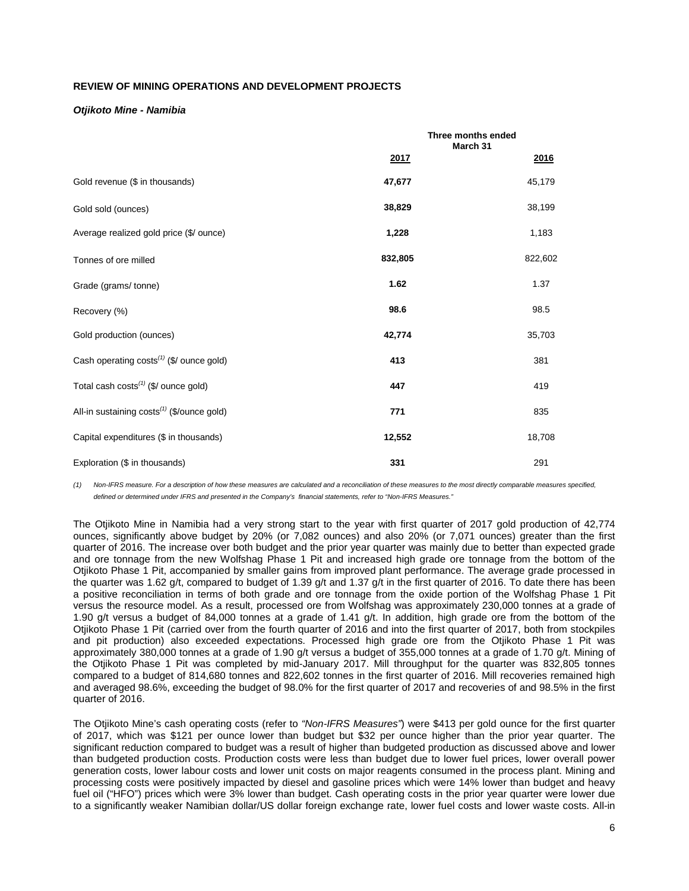# **REVIEW OF MINING OPERATIONS AND DEVELOPMENT PROJECTS**

### *Otjikoto Mine - Namibia*

|                                                        |         | Three months ended<br>March 31 |         |
|--------------------------------------------------------|---------|--------------------------------|---------|
|                                                        | 2017    |                                | 2016    |
| Gold revenue (\$ in thousands)                         | 47,677  |                                | 45,179  |
| Gold sold (ounces)                                     | 38,829  |                                | 38,199  |
| Average realized gold price (\$/ ounce)                | 1,228   |                                | 1,183   |
| Tonnes of ore milled                                   | 832,805 |                                | 822,602 |
| Grade (grams/tonne)                                    | 1.62    |                                | 1.37    |
| Recovery (%)                                           | 98.6    |                                | 98.5    |
| Gold production (ounces)                               | 42,774  |                                | 35,703  |
| Cash operating costs <sup>(1)</sup> (\$/ ounce gold)   | 413     |                                | 381     |
| Total cash costs <sup>(1)</sup> (\$/ ounce gold)       | 447     |                                | 419     |
| All-in sustaining costs <sup>(1)</sup> (\$/ounce gold) | 771     |                                | 835     |
| Capital expenditures (\$ in thousands)                 | 12,552  |                                | 18,708  |
| Exploration (\$ in thousands)                          | 331     |                                | 291     |

*(1) Non-IFRS measure. For a description of how these measures are calculated and a reconciliation of these measures to the most directly comparable measures specified, defined or determined under IFRS and presented in the Company's financial statements, refer to "Non-IFRS Measures."*

The Otjikoto Mine in Namibia had a very strong start to the year with first quarter of 2017 gold production of 42,774 ounces, significantly above budget by 20% (or 7,082 ounces) and also 20% (or 7,071 ounces) greater than the first quarter of 2016. The increase over both budget and the prior year quarter was mainly due to better than expected grade and ore tonnage from the new Wolfshag Phase 1 Pit and increased high grade ore tonnage from the bottom of the Otjikoto Phase 1 Pit, accompanied by smaller gains from improved plant performance. The average grade processed in the quarter was 1.62 g/t, compared to budget of 1.39 g/t and 1.37 g/t in the first quarter of 2016. To date there has been a positive reconciliation in terms of both grade and ore tonnage from the oxide portion of the Wolfshag Phase 1 Pit versus the resource model. As a result, processed ore from Wolfshag was approximately 230,000 tonnes at a grade of 1.90 g/t versus a budget of 84,000 tonnes at a grade of 1.41 g/t. In addition, high grade ore from the bottom of the Otjikoto Phase 1 Pit (carried over from the fourth quarter of 2016 and into the first quarter of 2017, both from stockpiles and pit production) also exceeded expectations. Processed high grade ore from the Otjikoto Phase 1 Pit was approximately 380,000 tonnes at a grade of 1.90 g/t versus a budget of 355,000 tonnes at a grade of 1.70 g/t. Mining of the Otjikoto Phase 1 Pit was completed by mid-January 2017. Mill throughput for the quarter was 832,805 tonnes compared to a budget of 814,680 tonnes and 822,602 tonnes in the first quarter of 2016. Mill recoveries remained high and averaged 98.6%, exceeding the budget of 98.0% for the first quarter of 2017 and recoveries of and 98.5% in the first quarter of 2016.

The Otjikoto Mine's cash operating costs (refer to *"Non-IFRS Measures"*) were \$413 per gold ounce for the first quarter of 2017, which was \$121 per ounce lower than budget but \$32 per ounce higher than the prior year quarter. The significant reduction compared to budget was a result of higher than budgeted production as discussed above and lower than budgeted production costs. Production costs were less than budget due to lower fuel prices, lower overall power generation costs, lower labour costs and lower unit costs on major reagents consumed in the process plant. Mining and processing costs were positively impacted by diesel and gasoline prices which were 14% lower than budget and heavy fuel oil ("HFO") prices which were 3% lower than budget. Cash operating costs in the prior year quarter were lower due to a significantly weaker Namibian dollar/US dollar foreign exchange rate, lower fuel costs and lower waste costs. All-in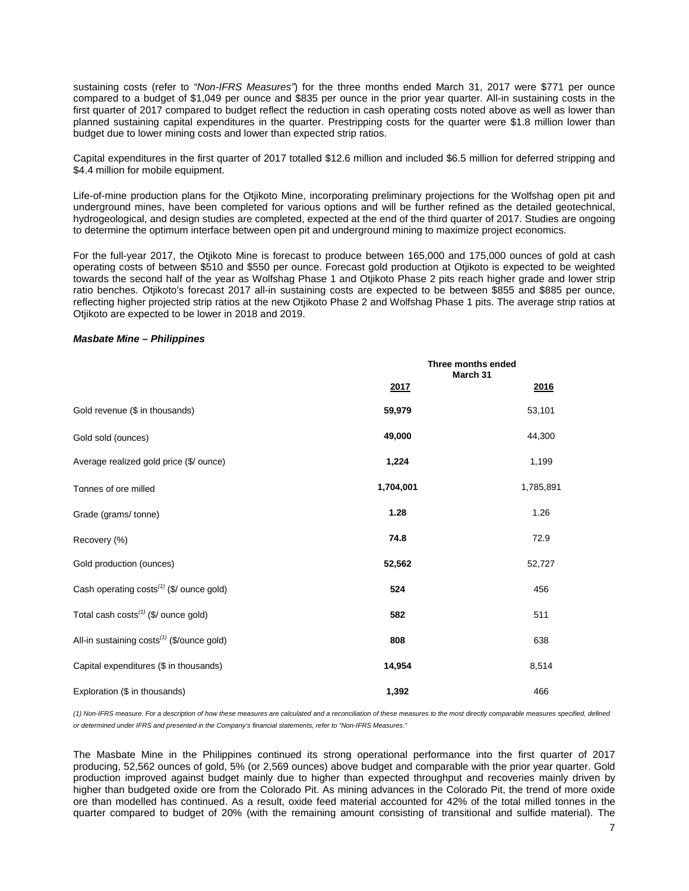sustaining costs (refer to *"Non-IFRS Measures"*) for the three months ended March 31, 2017 were \$771 per ounce compared to a budget of \$1,049 per ounce and \$835 per ounce in the prior year quarter. All-in sustaining costs in the first quarter of 2017 compared to budget reflect the reduction in cash operating costs noted above as well as lower than planned sustaining capital expenditures in the quarter. Prestripping costs for the quarter were \$1.8 million lower than budget due to lower mining costs and lower than expected strip ratios.

Capital expenditures in the first quarter of 2017 totalled \$12.6 million and included \$6.5 million for deferred stripping and \$4.4 million for mobile equipment.

Life-of-mine production plans for the Otjikoto Mine, incorporating preliminary projections for the Wolfshag open pit and underground mines, have been completed for various options and will be further refined as the detailed geotechnical, hydrogeological, and design studies are completed, expected at the end of the third quarter of 2017. Studies are ongoing to determine the optimum interface between open pit and underground mining to maximize project economics.

For the full-year 2017, the Otjikoto Mine is forecast to produce between 165,000 and 175,000 ounces of gold at cash operating costs of between \$510 and \$550 per ounce. Forecast gold production at Otjikoto is expected to be weighted towards the second half of the year as Wolfshag Phase 1 and Otjikoto Phase 2 pits reach higher grade and lower strip ratio benches. Otjikoto's forecast 2017 all-in sustaining costs are expected to be between \$855 and \$885 per ounce, reflecting higher projected strip ratios at the new Otjikoto Phase 2 and Wolfshag Phase 1 pits. The average strip ratios at Otjikoto are expected to be lower in 2018 and 2019.

#### *Masbate Mine – Philippines*

|                                                        | Three months ended<br>March 31 |           |  |
|--------------------------------------------------------|--------------------------------|-----------|--|
|                                                        | 2017                           | 2016      |  |
| Gold revenue (\$ in thousands)                         | 59,979                         | 53,101    |  |
| Gold sold (ounces)                                     | 49,000                         | 44,300    |  |
| Average realized gold price (\$/ ounce)                | 1,224                          | 1,199     |  |
| Tonnes of ore milled                                   | 1,704,001                      | 1,785,891 |  |
| Grade (grams/tonne)                                    | 1.28                           | 1.26      |  |
| Recovery (%)                                           | 74.8                           | 72.9      |  |
| Gold production (ounces)                               | 52,562                         | 52,727    |  |
| Cash operating costs <sup>(1)</sup> (\$/ ounce gold)   | 524                            | 456       |  |
| Total cash costs <sup>(1)</sup> (\$/ ounce gold)       | 582                            | 511       |  |
| All-in sustaining costs <sup>(1)</sup> (\$/ounce gold) | 808                            | 638       |  |
| Capital expenditures (\$ in thousands)                 | 14,954                         | 8,514     |  |
| Exploration (\$ in thousands)                          | 1,392                          | 466       |  |

*(1) Non-IFRS measure. For a description of how these measures are calculated and a reconciliation of these measures to the most directly comparable measures specified, defined or determined under IFRS and presented in the Company's financial statements, refer to "Non-IFRS Measures."*

The Masbate Mine in the Philippines continued its strong operational performance into the first quarter of 2017 producing, 52,562 ounces of gold, 5% (or 2,569 ounces) above budget and comparable with the prior year quarter. Gold production improved against budget mainly due to higher than expected throughput and recoveries mainly driven by higher than budgeted oxide ore from the Colorado Pit. As mining advances in the Colorado Pit, the trend of more oxide ore than modelled has continued. As a result, oxide feed material accounted for 42% of the total milled tonnes in the quarter compared to budget of 20% (with the remaining amount consisting of transitional and sulfide material). The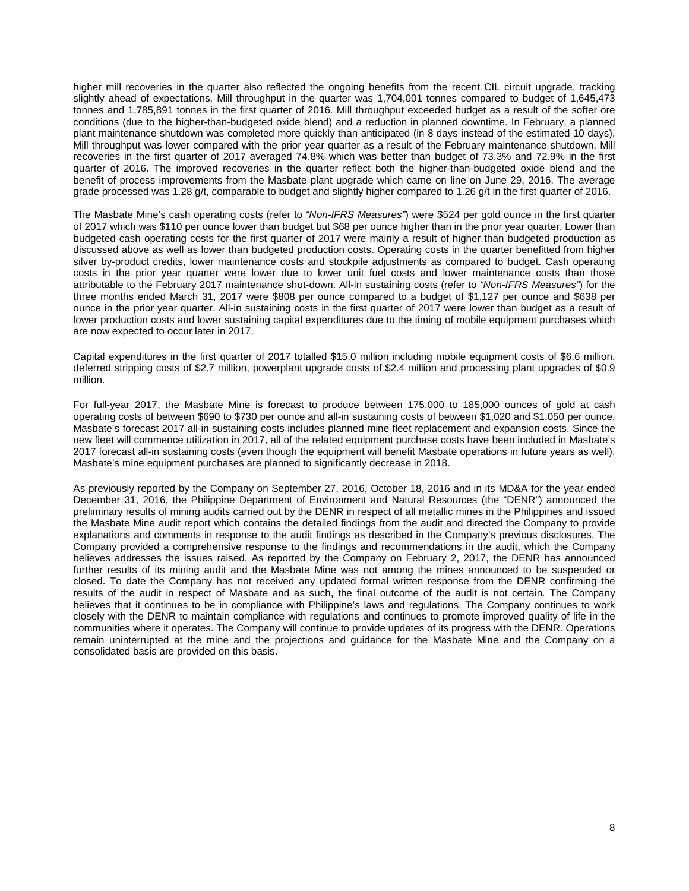higher mill recoveries in the quarter also reflected the ongoing benefits from the recent CIL circuit upgrade, tracking slightly ahead of expectations. Mill throughput in the quarter was 1,704,001 tonnes compared to budget of 1,645,473 tonnes and 1,785,891 tonnes in the first quarter of 2016. Mill throughput exceeded budget as a result of the softer ore conditions (due to the higher-than-budgeted oxide blend) and a reduction in planned downtime. In February, a planned plant maintenance shutdown was completed more quickly than anticipated (in 8 days instead of the estimated 10 days). Mill throughput was lower compared with the prior year quarter as a result of the February maintenance shutdown. Mill recoveries in the first quarter of 2017 averaged 74.8% which was better than budget of 73.3% and 72.9% in the first quarter of 2016. The improved recoveries in the quarter reflect both the higher-than-budgeted oxide blend and the benefit of process improvements from the Masbate plant upgrade which came on line on June 29, 2016. The average grade processed was 1.28 g/t, comparable to budget and slightly higher compared to 1.26 g/t in the first quarter of 2016.

The Masbate Mine's cash operating costs (refer to *"Non-IFRS Measures"*) were \$524 per gold ounce in the first quarter of 2017 which was \$110 per ounce lower than budget but \$68 per ounce higher than in the prior year quarter. Lower than budgeted cash operating costs for the first quarter of 2017 were mainly a result of higher than budgeted production as discussed above as well as lower than budgeted production costs. Operating costs in the quarter benefitted from higher silver by-product credits, lower maintenance costs and stockpile adjustments as compared to budget. Cash operating costs in the prior year quarter were lower due to lower unit fuel costs and lower maintenance costs than those attributable to the February 2017 maintenance shut-down. All-in sustaining costs (refer to *"Non-IFRS Measures"*) for the three months ended March 31, 2017 were \$808 per ounce compared to a budget of \$1,127 per ounce and \$638 per ounce in the prior year quarter. All-in sustaining costs in the first quarter of 2017 were lower than budget as a result of lower production costs and lower sustaining capital expenditures due to the timing of mobile equipment purchases which are now expected to occur later in 2017.

Capital expenditures in the first quarter of 2017 totalled \$15.0 million including mobile equipment costs of \$6.6 million, deferred stripping costs of \$2.7 million, powerplant upgrade costs of \$2.4 million and processing plant upgrades of \$0.9 million.

For full-year 2017, the Masbate Mine is forecast to produce between 175,000 to 185,000 ounces of gold at cash operating costs of between \$690 to \$730 per ounce and all-in sustaining costs of between \$1,020 and \$1,050 per ounce. Masbate's forecast 2017 all-in sustaining costs includes planned mine fleet replacement and expansion costs. Since the new fleet will commence utilization in 2017, all of the related equipment purchase costs have been included in Masbate's 2017 forecast all-in sustaining costs (even though the equipment will benefit Masbate operations in future years as well). Masbate's mine equipment purchases are planned to significantly decrease in 2018.

As previously reported by the Company on September 27, 2016, October 18, 2016 and in its MD&A for the year ended December 31, 2016, the Philippine Department of Environment and Natural Resources (the "DENR") announced the preliminary results of mining audits carried out by the DENR in respect of all metallic mines in the Philippines and issued the Masbate Mine audit report which contains the detailed findings from the audit and directed the Company to provide explanations and comments in response to the audit findings as described in the Company's previous disclosures. The Company provided a comprehensive response to the findings and recommendations in the audit, which the Company believes addresses the issues raised. As reported by the Company on February 2, 2017, the DENR has announced further results of its mining audit and the Masbate Mine was not among the mines announced to be suspended or closed. To date the Company has not received any updated formal written response from the DENR confirming the results of the audit in respect of Masbate and as such, the final outcome of the audit is not certain. The Company believes that it continues to be in compliance with Philippine's laws and regulations. The Company continues to work closely with the DENR to maintain compliance with regulations and continues to promote improved quality of life in the communities where it operates. The Company will continue to provide updates of its progress with the DENR. Operations remain uninterrupted at the mine and the projections and guidance for the Masbate Mine and the Company on a consolidated basis are provided on this basis.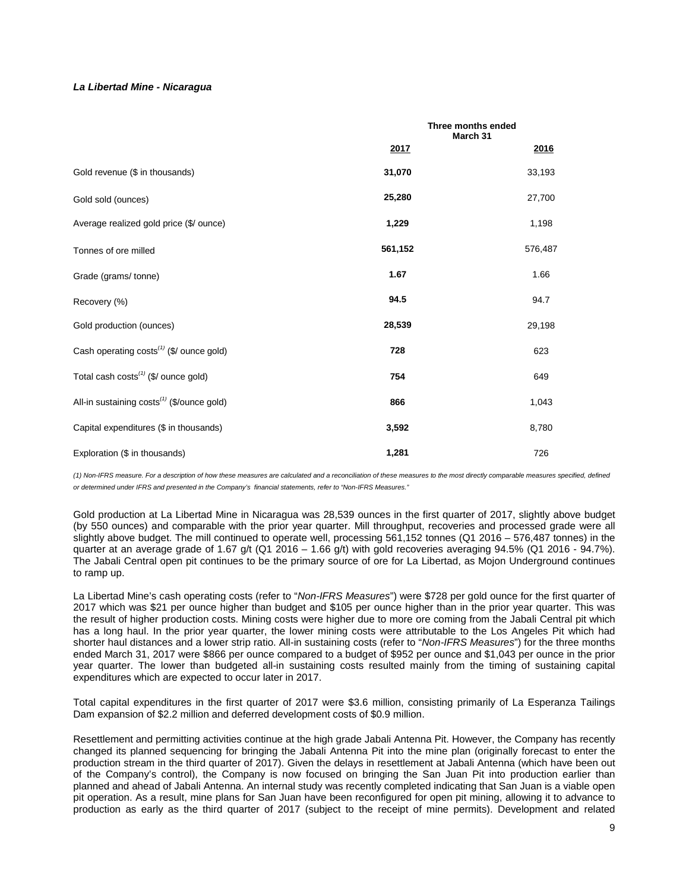### *La Libertad Mine - Nicaragua*

|                                                        |         | Three months ended<br>March 31 |
|--------------------------------------------------------|---------|--------------------------------|
|                                                        | 2017    | <u> 2016</u>                   |
| Gold revenue (\$ in thousands)                         | 31,070  | 33,193                         |
| Gold sold (ounces)                                     | 25,280  | 27,700                         |
| Average realized gold price (\$/ ounce)                | 1,229   | 1,198                          |
| Tonnes of ore milled                                   | 561,152 | 576,487                        |
| Grade (grams/tonne)                                    | 1.67    | 1.66                           |
| Recovery (%)                                           | 94.5    | 94.7                           |
| Gold production (ounces)                               | 28,539  | 29,198                         |
| Cash operating costs <sup>(1)</sup> (\$/ ounce gold)   | 728     | 623                            |
| Total cash costs <sup>(1)</sup> (\$/ ounce gold)       | 754     | 649                            |
| All-in sustaining costs <sup>(1)</sup> (\$/ounce gold) | 866     | 1,043                          |
| Capital expenditures (\$ in thousands)                 | 3,592   | 8,780                          |
| Exploration (\$ in thousands)                          | 1,281   | 726                            |

*(1) Non-IFRS measure. For a description of how these measures are calculated and a reconciliation of these measures to the most directly comparable measures specified, defined or determined under IFRS and presented in the Company's financial statements, refer to "Non-IFRS Measures."*

Gold production at La Libertad Mine in Nicaragua was 28,539 ounces in the first quarter of 2017, slightly above budget (by 550 ounces) and comparable with the prior year quarter. Mill throughput, recoveries and processed grade were all slightly above budget. The mill continued to operate well, processing 561,152 tonnes (Q1 2016 – 576,487 tonnes) in the quarter at an average grade of 1.67 g/t (Q1 2016 – 1.66 g/t) with gold recoveries averaging  $94.5\%$  (Q1 2016 -  $94.7\%$ ). The Jabali Central open pit continues to be the primary source of ore for La Libertad, as Mojon Underground continues to ramp up.

La Libertad Mine's cash operating costs (refer to "*Non-IFRS Measures*") were \$728 per gold ounce for the first quarter of 2017 which was \$21 per ounce higher than budget and \$105 per ounce higher than in the prior year quarter. This was the result of higher production costs. Mining costs were higher due to more ore coming from the Jabali Central pit which has a long haul. In the prior year quarter, the lower mining costs were attributable to the Los Angeles Pit which had shorter haul distances and a lower strip ratio. All-in sustaining costs (refer to "*Non-IFRS Measures*") for the three months ended March 31, 2017 were \$866 per ounce compared to a budget of \$952 per ounce and \$1,043 per ounce in the prior year quarter. The lower than budgeted all-in sustaining costs resulted mainly from the timing of sustaining capital expenditures which are expected to occur later in 2017.

Total capital expenditures in the first quarter of 2017 were \$3.6 million, consisting primarily of La Esperanza Tailings Dam expansion of \$2.2 million and deferred development costs of \$0.9 million.

Resettlement and permitting activities continue at the high grade Jabali Antenna Pit. However, the Company has recently changed its planned sequencing for bringing the Jabali Antenna Pit into the mine plan (originally forecast to enter the production stream in the third quarter of 2017). Given the delays in resettlement at Jabali Antenna (which have been out of the Company's control), the Company is now focused on bringing the San Juan Pit into production earlier than planned and ahead of Jabali Antenna. An internal study was recently completed indicating that San Juan is a viable open pit operation. As a result, mine plans for San Juan have been reconfigured for open pit mining, allowing it to advance to production as early as the third quarter of 2017 (subject to the receipt of mine permits). Development and related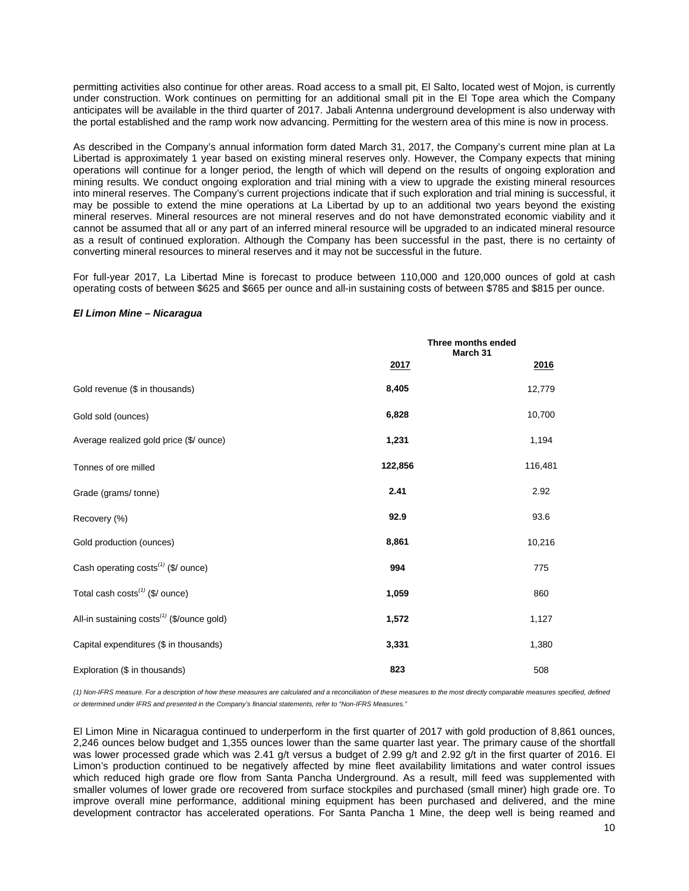permitting activities also continue for other areas. Road access to a small pit, El Salto, located west of Mojon, is currently under construction. Work continues on permitting for an additional small pit in the El Tope area which the Company anticipates will be available in the third quarter of 2017. Jabali Antenna underground development is also underway with the portal established and the ramp work now advancing. Permitting for the western area of this mine is now in process.

As described in the Company's annual information form dated March 31, 2017, the Company's current mine plan at La Libertad is approximately 1 year based on existing mineral reserves only. However, the Company expects that mining operations will continue for a longer period, the length of which will depend on the results of ongoing exploration and mining results. We conduct ongoing exploration and trial mining with a view to upgrade the existing mineral resources into mineral reserves. The Company's current projections indicate that if such exploration and trial mining is successful, it may be possible to extend the mine operations at La Libertad by up to an additional two years beyond the existing mineral reserves. Mineral resources are not mineral reserves and do not have demonstrated economic viability and it cannot be assumed that all or any part of an inferred mineral resource will be upgraded to an indicated mineral resource as a result of continued exploration. Although the Company has been successful in the past, there is no certainty of converting mineral resources to mineral reserves and it may not be successful in the future.

For full-year 2017, La Libertad Mine is forecast to produce between 110,000 and 120,000 ounces of gold at cash operating costs of between \$625 and \$665 per ounce and all-in sustaining costs of between \$785 and \$815 per ounce.

#### *El Limon Mine – Nicaragua*

|                                                        | Three months ended<br>March 31 |         |  |
|--------------------------------------------------------|--------------------------------|---------|--|
|                                                        | 2017                           | 2016    |  |
| Gold revenue (\$ in thousands)                         | 8,405                          | 12,779  |  |
| Gold sold (ounces)                                     | 6,828                          | 10,700  |  |
| Average realized gold price (\$/ ounce)                | 1,231                          | 1,194   |  |
| Tonnes of ore milled                                   | 122,856                        | 116,481 |  |
| Grade (grams/tonne)                                    | 2.41                           | 2.92    |  |
| Recovery (%)                                           | 92.9                           | 93.6    |  |
| Gold production (ounces)                               | 8,861                          | 10,216  |  |
| Cash operating costs <sup>(1)</sup> (\$/ ounce)        | 994                            | 775     |  |
| Total cash $costs^{(1)}$ (\$/ ounce)                   | 1,059                          | 860     |  |
| All-in sustaining costs <sup>(1)</sup> (\$/ounce gold) | 1,572                          | 1,127   |  |
| Capital expenditures (\$ in thousands)                 | 3,331                          | 1,380   |  |
| Exploration (\$ in thousands)                          | 823                            | 508     |  |

*(1) Non-IFRS measure. For a description of how these measures are calculated and a reconciliation of these measures to the most directly comparable measures specified, defined or determined under IFRS and presented in the Company's financial statements, refer to "Non-IFRS Measures."*

El Limon Mine in Nicaragua continued to underperform in the first quarter of 2017 with gold production of 8,861 ounces, 2,246 ounces below budget and 1,355 ounces lower than the same quarter last year. The primary cause of the shortfall was lower processed grade which was 2.41 g/t versus a budget of 2.99 g/t and 2.92 g/t in the first quarter of 2016. El Limon's production continued to be negatively affected by mine fleet availability limitations and water control issues which reduced high grade ore flow from Santa Pancha Underground. As a result, mill feed was supplemented with smaller volumes of lower grade ore recovered from surface stockpiles and purchased (small miner) high grade ore. To improve overall mine performance, additional mining equipment has been purchased and delivered, and the mine development contractor has accelerated operations. For Santa Pancha 1 Mine, the deep well is being reamed and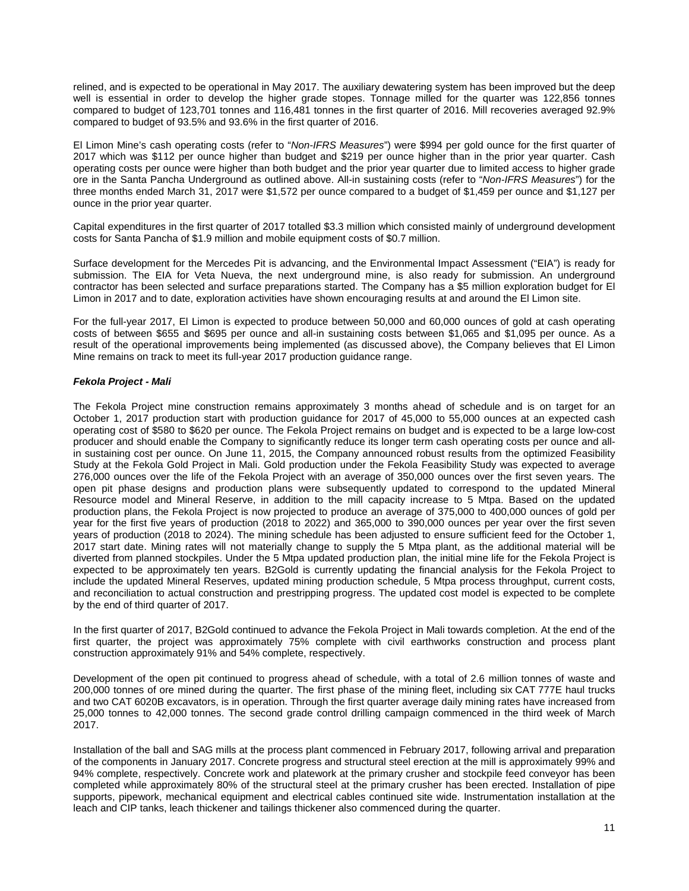relined, and is expected to be operational in May 2017. The auxiliary dewatering system has been improved but the deep well is essential in order to develop the higher grade stopes. Tonnage milled for the quarter was 122,856 tonnes compared to budget of 123,701 tonnes and 116,481 tonnes in the first quarter of 2016. Mill recoveries averaged 92.9% compared to budget of 93.5% and 93.6% in the first quarter of 2016.

El Limon Mine's cash operating costs (refer to "*Non-IFRS Measures*") were \$994 per gold ounce for the first quarter of 2017 which was \$112 per ounce higher than budget and \$219 per ounce higher than in the prior year quarter. Cash operating costs per ounce were higher than both budget and the prior year quarter due to limited access to higher grade ore in the Santa Pancha Underground as outlined above. All-in sustaining costs (refer to "*Non-IFRS Measures*") for the three months ended March 31, 2017 were \$1,572 per ounce compared to a budget of \$1,459 per ounce and \$1,127 per ounce in the prior year quarter.

Capital expenditures in the first quarter of 2017 totalled \$3.3 million which consisted mainly of underground development costs for Santa Pancha of \$1.9 million and mobile equipment costs of \$0.7 million.

Surface development for the Mercedes Pit is advancing, and the Environmental Impact Assessment ("EIA") is ready for submission. The EIA for Veta Nueva, the next underground mine, is also ready for submission. An underground contractor has been selected and surface preparations started. The Company has a \$5 million exploration budget for El Limon in 2017 and to date, exploration activities have shown encouraging results at and around the El Limon site.

For the full-year 2017, El Limon is expected to produce between 50,000 and 60,000 ounces of gold at cash operating costs of between \$655 and \$695 per ounce and all-in sustaining costs between \$1,065 and \$1,095 per ounce. As a result of the operational improvements being implemented (as discussed above), the Company believes that El Limon Mine remains on track to meet its full-year 2017 production guidance range.

# *Fekola Project - Mali*

The Fekola Project mine construction remains approximately 3 months ahead of schedule and is on target for an October 1, 2017 production start with production guidance for 2017 of 45,000 to 55,000 ounces at an expected cash operating cost of \$580 to \$620 per ounce. The Fekola Project remains on budget and is expected to be a large low-cost producer and should enable the Company to significantly reduce its longer term cash operating costs per ounce and allin sustaining cost per ounce. On June 11, 2015, the Company announced robust results from the optimized Feasibility Study at the Fekola Gold Project in Mali. Gold production under the Fekola Feasibility Study was expected to average 276,000 ounces over the life of the Fekola Project with an average of 350,000 ounces over the first seven years. The open pit phase designs and production plans were subsequently updated to correspond to the updated Mineral Resource model and Mineral Reserve, in addition to the mill capacity increase to 5 Mtpa. Based on the updated production plans, the Fekola Project is now projected to produce an average of 375,000 to 400,000 ounces of gold per year for the first five years of production (2018 to 2022) and 365,000 to 390,000 ounces per year over the first seven years of production (2018 to 2024). The mining schedule has been adjusted to ensure sufficient feed for the October 1, 2017 start date. Mining rates will not materially change to supply the 5 Mtpa plant, as the additional material will be diverted from planned stockpiles. Under the 5 Mtpa updated production plan, the initial mine life for the Fekola Project is expected to be approximately ten years. B2Gold is currently updating the financial analysis for the Fekola Project to include the updated Mineral Reserves, updated mining production schedule, 5 Mtpa process throughput, current costs, and reconciliation to actual construction and prestripping progress. The updated cost model is expected to be complete by the end of third quarter of 2017.

In the first quarter of 2017, B2Gold continued to advance the Fekola Project in Mali towards completion. At the end of the first quarter, the project was approximately 75% complete with civil earthworks construction and process plant construction approximately 91% and 54% complete, respectively.

Development of the open pit continued to progress ahead of schedule, with a total of 2.6 million tonnes of waste and 200,000 tonnes of ore mined during the quarter. The first phase of the mining fleet, including six CAT 777E haul trucks and two CAT 6020B excavators, is in operation. Through the first quarter average daily mining rates have increased from 25,000 tonnes to 42,000 tonnes. The second grade control drilling campaign commenced in the third week of March 2017.

Installation of the ball and SAG mills at the process plant commenced in February 2017, following arrival and preparation of the components in January 2017. Concrete progress and structural steel erection at the mill is approximately 99% and 94% complete, respectively. Concrete work and platework at the primary crusher and stockpile feed conveyor has been completed while approximately 80% of the structural steel at the primary crusher has been erected. Installation of pipe supports, pipework, mechanical equipment and electrical cables continued site wide. Instrumentation installation at the leach and CIP tanks, leach thickener and tailings thickener also commenced during the quarter.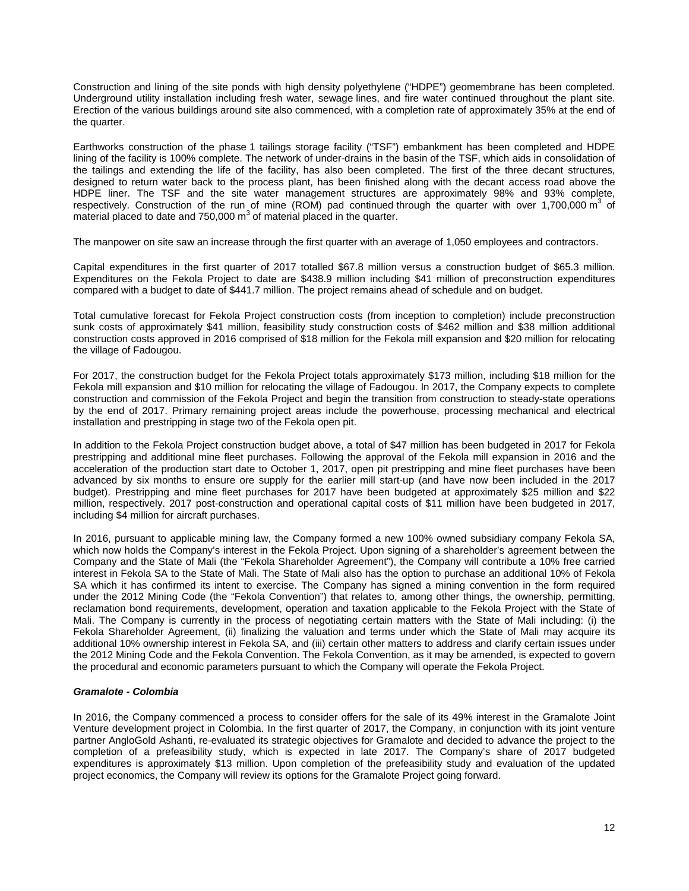Construction and lining of the site ponds with high density polyethylene ("HDPE") geomembrane has been completed. Underground utility installation including fresh water, sewage lines, and fire water continued throughout the plant site. Erection of the various buildings around site also commenced, with a completion rate of approximately 35% at the end of the quarter.

Earthworks construction of the phase 1 tailings storage facility ("TSF") embankment has been completed and HDPE lining of the facility is 100% complete. The network of under-drains in the basin of the TSF, which aids in consolidation of the tailings and extending the life of the facility, has also been completed. The first of the three decant structures, designed to return water back to the process plant, has been finished along with the decant access road above the HDPE liner. The TSF and the site water management structures are approximately 98% and 93% complete, respectively. Construction of the run of mine (ROM) pad continued through the quarter with over 1,700,000  $m<sup>3</sup>$  of material placed to date and 750,000  $m<sup>3</sup>$  of material placed in the quarter.

The manpower on site saw an increase through the first quarter with an average of 1,050 employees and contractors.

Capital expenditures in the first quarter of 2017 totalled \$67.8 million versus a construction budget of \$65.3 million. Expenditures on the Fekola Project to date are \$438.9 million including \$41 million of preconstruction expenditures compared with a budget to date of \$441.7 million. The project remains ahead of schedule and on budget.

Total cumulative forecast for Fekola Project construction costs (from inception to completion) include preconstruction sunk costs of approximately \$41 million, feasibility study construction costs of \$462 million and \$38 million additional construction costs approved in 2016 comprised of \$18 million for the Fekola mill expansion and \$20 million for relocating the village of Fadougou.

For 2017, the construction budget for the Fekola Project totals approximately \$173 million, including \$18 million for the Fekola mill expansion and \$10 million for relocating the village of Fadougou. In 2017, the Company expects to complete construction and commission of the Fekola Project and begin the transition from construction to steady-state operations by the end of 2017. Primary remaining project areas include the powerhouse, processing mechanical and electrical installation and prestripping in stage two of the Fekola open pit.

In addition to the Fekola Project construction budget above, a total of \$47 million has been budgeted in 2017 for Fekola prestripping and additional mine fleet purchases. Following the approval of the Fekola mill expansion in 2016 and the acceleration of the production start date to October 1, 2017, open pit prestripping and mine fleet purchases have been advanced by six months to ensure ore supply for the earlier mill start-up (and have now been included in the 2017 budget). Prestripping and mine fleet purchases for 2017 have been budgeted at approximately \$25 million and \$22 million, respectively. 2017 post-construction and operational capital costs of \$11 million have been budgeted in 2017, including \$4 million for aircraft purchases.

In 2016, pursuant to applicable mining law, the Company formed a new 100% owned subsidiary company Fekola SA, which now holds the Company's interest in the Fekola Project. Upon signing of a shareholder's agreement between the Company and the State of Mali (the "Fekola Shareholder Agreement"), the Company will contribute a 10% free carried interest in Fekola SA to the State of Mali. The State of Mali also has the option to purchase an additional 10% of Fekola SA which it has confirmed its intent to exercise. The Company has signed a mining convention in the form required under the 2012 Mining Code (the "Fekola Convention") that relates to, among other things, the ownership, permitting, reclamation bond requirements, development, operation and taxation applicable to the Fekola Project with the State of Mali. The Company is currently in the process of negotiating certain matters with the State of Mali including: (i) the Fekola Shareholder Agreement, (ii) finalizing the valuation and terms under which the State of Mali may acquire its additional 10% ownership interest in Fekola SA, and (iii) certain other matters to address and clarify certain issues under the 2012 Mining Code and the Fekola Convention. The Fekola Convention, as it may be amended, is expected to govern the procedural and economic parameters pursuant to which the Company will operate the Fekola Project.

# *Gramalote - Colombia*

In 2016, the Company commenced a process to consider offers for the sale of its 49% interest in the Gramalote Joint Venture development project in Colombia. In the first quarter of 2017, the Company, in conjunction with its joint venture partner AngloGold Ashanti, re-evaluated its strategic objectives for Gramalote and decided to advance the project to the completion of a prefeasibility study, which is expected in late 2017. The Company's share of 2017 budgeted expenditures is approximately \$13 million. Upon completion of the prefeasibility study and evaluation of the updated project economics, the Company will review its options for the Gramalote Project going forward.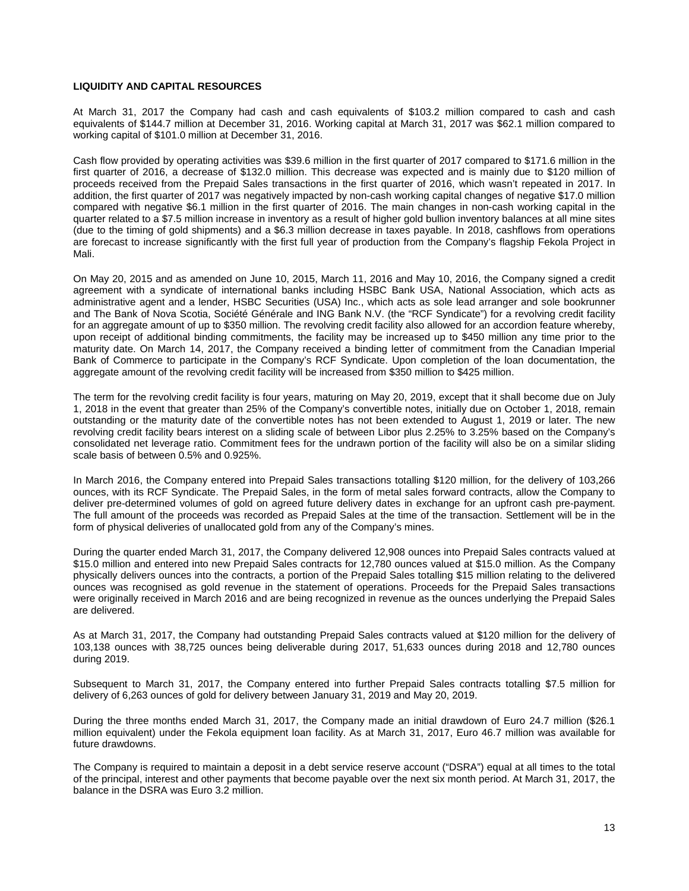# **LIQUIDITY AND CAPITAL RESOURCES**

At March 31, 2017 the Company had cash and cash equivalents of \$103.2 million compared to cash and cash equivalents of \$144.7 million at December 31, 2016. Working capital at March 31, 2017 was \$62.1 million compared to working capital of \$101.0 million at December 31, 2016.

Cash flow provided by operating activities was \$39.6 million in the first quarter of 2017 compared to \$171.6 million in the first quarter of 2016, a decrease of \$132.0 million. This decrease was expected and is mainly due to \$120 million of proceeds received from the Prepaid Sales transactions in the first quarter of 2016, which wasn't repeated in 2017. In addition, the first quarter of 2017 was negatively impacted by non-cash working capital changes of negative \$17.0 million compared with negative \$6.1 million in the first quarter of 2016. The main changes in non-cash working capital in the quarter related to a \$7.5 million increase in inventory as a result of higher gold bullion inventory balances at all mine sites (due to the timing of gold shipments) and a \$6.3 million decrease in taxes payable. In 2018, cashflows from operations are forecast to increase significantly with the first full year of production from the Company's flagship Fekola Project in Mali.

On May 20, 2015 and as amended on June 10, 2015, March 11, 2016 and May 10, 2016, the Company signed a credit agreement with a syndicate of international banks including HSBC Bank USA, National Association, which acts as administrative agent and a lender, HSBC Securities (USA) Inc., which acts as sole lead arranger and sole bookrunner and The Bank of Nova Scotia, Société Générale and ING Bank N.V. (the "RCF Syndicate") for a revolving credit facility for an aggregate amount of up to \$350 million. The revolving credit facility also allowed for an accordion feature whereby, upon receipt of additional binding commitments, the facility may be increased up to \$450 million any time prior to the maturity date. On March 14, 2017, the Company received a binding letter of commitment from the Canadian Imperial Bank of Commerce to participate in the Company's RCF Syndicate. Upon completion of the loan documentation, the aggregate amount of the revolving credit facility will be increased from \$350 million to \$425 million.

The term for the revolving credit facility is four years, maturing on May 20, 2019, except that it shall become due on July 1, 2018 in the event that greater than 25% of the Company's convertible notes, initially due on October 1, 2018, remain outstanding or the maturity date of the convertible notes has not been extended to August 1, 2019 or later. The new revolving credit facility bears interest on a sliding scale of between Libor plus 2.25% to 3.25% based on the Company's consolidated net leverage ratio. Commitment fees for the undrawn portion of the facility will also be on a similar sliding scale basis of between 0.5% and 0.925%.

In March 2016, the Company entered into Prepaid Sales transactions totalling \$120 million, for the delivery of 103,266 ounces, with its RCF Syndicate. The Prepaid Sales, in the form of metal sales forward contracts, allow the Company to deliver pre-determined volumes of gold on agreed future delivery dates in exchange for an upfront cash pre-payment. The full amount of the proceeds was recorded as Prepaid Sales at the time of the transaction. Settlement will be in the form of physical deliveries of unallocated gold from any of the Company's mines.

During the quarter ended March 31, 2017, the Company delivered 12,908 ounces into Prepaid Sales contracts valued at \$15.0 million and entered into new Prepaid Sales contracts for 12,780 ounces valued at \$15.0 million. As the Company physically delivers ounces into the contracts, a portion of the Prepaid Sales totalling \$15 million relating to the delivered ounces was recognised as gold revenue in the statement of operations. Proceeds for the Prepaid Sales transactions were originally received in March 2016 and are being recognized in revenue as the ounces underlying the Prepaid Sales are delivered.

As at March 31, 2017, the Company had outstanding Prepaid Sales contracts valued at \$120 million for the delivery of 103,138 ounces with 38,725 ounces being deliverable during 2017, 51,633 ounces during 2018 and 12,780 ounces during 2019.

Subsequent to March 31, 2017, the Company entered into further Prepaid Sales contracts totalling \$7.5 million for delivery of 6,263 ounces of gold for delivery between January 31, 2019 and May 20, 2019.

During the three months ended March 31, 2017, the Company made an initial drawdown of Euro 24.7 million (\$26.1 million equivalent) under the Fekola equipment loan facility. As at March 31, 2017, Euro 46.7 million was available for future drawdowns.

The Company is required to maintain a deposit in a debt service reserve account ("DSRA") equal at all times to the total of the principal, interest and other payments that become payable over the next six month period. At March 31, 2017, the balance in the DSRA was Euro 3.2 million.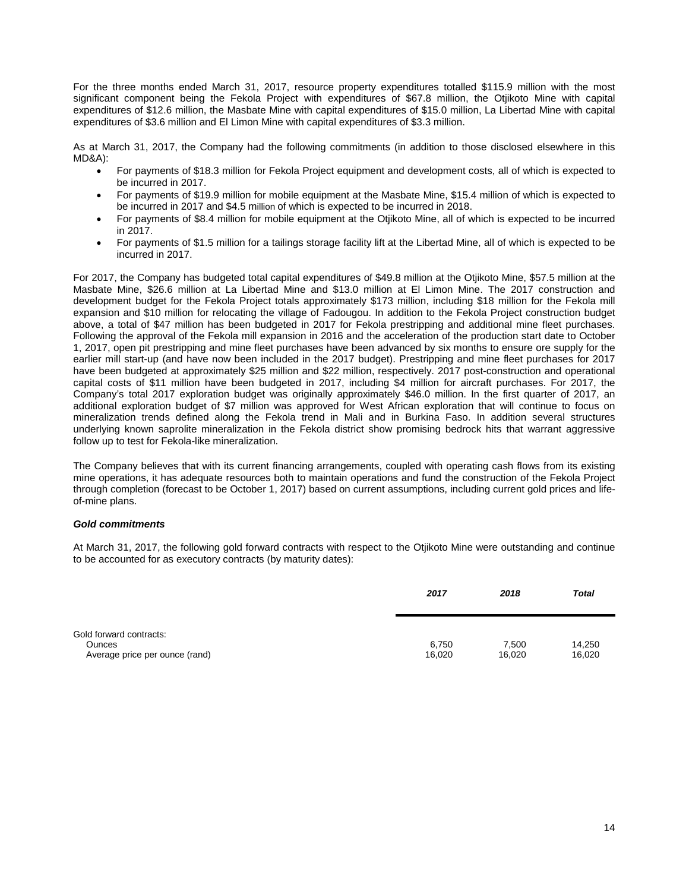For the three months ended March 31, 2017, resource property expenditures totalled \$115.9 million with the most significant component being the Fekola Project with expenditures of \$67.8 million, the Otjikoto Mine with capital expenditures of \$12.6 million, the Masbate Mine with capital expenditures of \$15.0 million, La Libertad Mine with capital expenditures of \$3.6 million and El Limon Mine with capital expenditures of \$3.3 million.

As at March 31, 2017, the Company had the following commitments (in addition to those disclosed elsewhere in this MD&A):

- For payments of \$18.3 million for Fekola Project equipment and development costs, all of which is expected to be incurred in 2017.
- For payments of \$19.9 million for mobile equipment at the Masbate Mine, \$15.4 million of which is expected to be incurred in 2017 and \$4.5 million of which is expected to be incurred in 2018.
- For payments of \$8.4 million for mobile equipment at the Otjikoto Mine, all of which is expected to be incurred in 2017.
- For payments of \$1.5 million for a tailings storage facility lift at the Libertad Mine, all of which is expected to be incurred in 2017.

For 2017, the Company has budgeted total capital expenditures of \$49.8 million at the Otjikoto Mine, \$57.5 million at the Masbate Mine, \$26.6 million at La Libertad Mine and \$13.0 million at El Limon Mine. The 2017 construction and development budget for the Fekola Project totals approximately \$173 million, including \$18 million for the Fekola mill expansion and \$10 million for relocating the village of Fadougou. In addition to the Fekola Project construction budget above, a total of \$47 million has been budgeted in 2017 for Fekola prestripping and additional mine fleet purchases. Following the approval of the Fekola mill expansion in 2016 and the acceleration of the production start date to October 1, 2017, open pit prestripping and mine fleet purchases have been advanced by six months to ensure ore supply for the earlier mill start-up (and have now been included in the 2017 budget). Prestripping and mine fleet purchases for 2017 have been budgeted at approximately \$25 million and \$22 million, respectively. 2017 post-construction and operational capital costs of \$11 million have been budgeted in 2017, including \$4 million for aircraft purchases. For 2017, the Company's total 2017 exploration budget was originally approximately \$46.0 million. In the first quarter of 2017, an additional exploration budget of \$7 million was approved for West African exploration that will continue to focus on mineralization trends defined along the Fekola trend in Mali and in Burkina Faso. In addition several structures underlying known saprolite mineralization in the Fekola district show promising bedrock hits that warrant aggressive follow up to test for Fekola-like mineralization.

The Company believes that with its current financing arrangements, coupled with operating cash flows from its existing mine operations, it has adequate resources both to maintain operations and fund the construction of the Fekola Project through completion (forecast to be October 1, 2017) based on current assumptions, including current gold prices and lifeof-mine plans.

# *Gold commitments*

At March 31, 2017, the following gold forward contracts with respect to the Otjikoto Mine were outstanding and continue to be accounted for as executory contracts (by maturity dates):

|                                                                            | 2017            | 2018            | <b>Total</b>     |
|----------------------------------------------------------------------------|-----------------|-----------------|------------------|
| Gold forward contracts:<br><b>Ounces</b><br>Average price per ounce (rand) | 6,750<br>16,020 | 7,500<br>16,020 | 14,250<br>16,020 |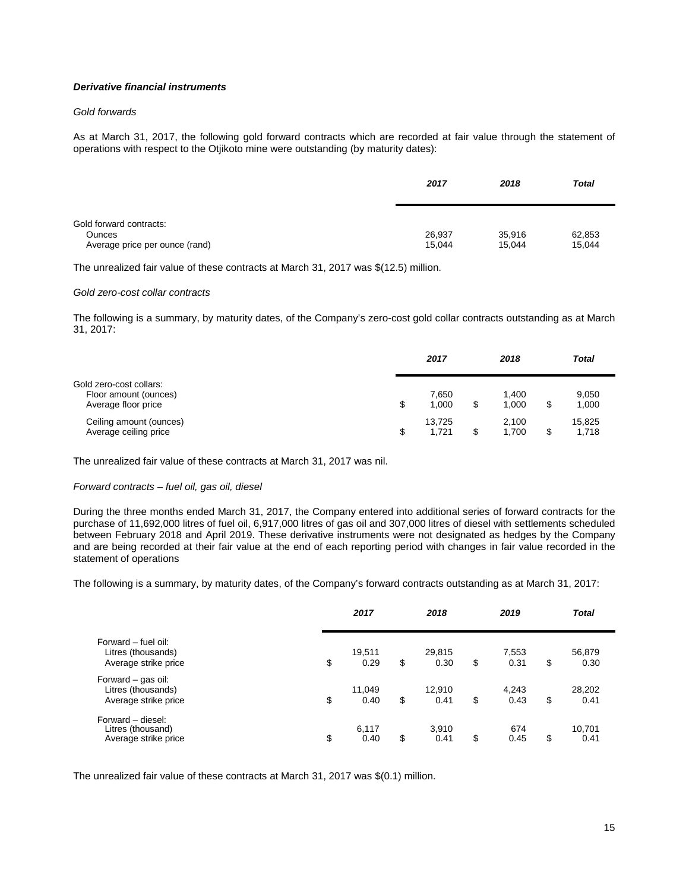# *Derivative financial instruments*

# *Gold forwards*

As at March 31, 2017, the following gold forward contracts which are recorded at fair value through the statement of operations with respect to the Otjikoto mine were outstanding (by maturity dates):

|                                                                            | 2017             | 2018             | <b>Total</b>     |
|----------------------------------------------------------------------------|------------------|------------------|------------------|
| Gold forward contracts:<br><b>Ounces</b><br>Average price per ounce (rand) | 26,937<br>15.044 | 35,916<br>15.044 | 62,853<br>15,044 |

The unrealized fair value of these contracts at March 31, 2017 was \$(12.5) million.

#### *Gold zero-cost collar contracts*

The following is a summary, by maturity dates, of the Company's zero-cost gold collar contracts outstanding as at March 31, 2017:

|                                                                         | 2017                  | 2018                 | <b>Total</b>    |
|-------------------------------------------------------------------------|-----------------------|----------------------|-----------------|
| Gold zero-cost collars:<br>Floor amount (ounces)<br>Average floor price | \$<br>7.650<br>1.000  | 1.400<br>1.000       | 9,050<br>1,000  |
| Ceiling amount (ounces)<br>Average ceiling price                        | \$<br>13.725<br>1.721 | \$<br>2,100<br>1.700 | 15,825<br>1,718 |

The unrealized fair value of these contracts at March 31, 2017 was nil.

#### *Forward contracts – fuel oil, gas oil, diesel*

During the three months ended March 31, 2017, the Company entered into additional series of forward contracts for the purchase of 11,692,000 litres of fuel oil, 6,917,000 litres of gas oil and 307,000 litres of diesel with settlements scheduled between February 2018 and April 2019. These derivative instruments were not designated as hedges by the Company and are being recorded at their fair value at the end of each reporting period with changes in fair value recorded in the statement of operations

The following is a summary, by maturity dates, of the Company's forward contracts outstanding as at March 31, 2017:

|                                                                   | 2017                 | 2018                 | 2019                | <b>Total</b>         |  |
|-------------------------------------------------------------------|----------------------|----------------------|---------------------|----------------------|--|
| Forward – fuel oil:<br>Litres (thousands)<br>Average strike price | \$<br>19,511<br>0.29 | \$<br>29,815<br>0.30 | \$<br>7,553<br>0.31 | \$<br>56,879<br>0.30 |  |
| Forward - gas oil:<br>Litres (thousands)<br>Average strike price  | \$<br>11,049<br>0.40 | \$<br>12.910<br>0.41 | \$<br>4.243<br>0.43 | \$<br>28,202<br>0.41 |  |
| Forward - diesel:<br>Litres (thousand)<br>Average strike price    | \$<br>6,117<br>0.40  | \$<br>3.910<br>0.41  | \$<br>674<br>0.45   | \$<br>10,701<br>0.41 |  |

The unrealized fair value of these contracts at March 31, 2017 was \$(0.1) million.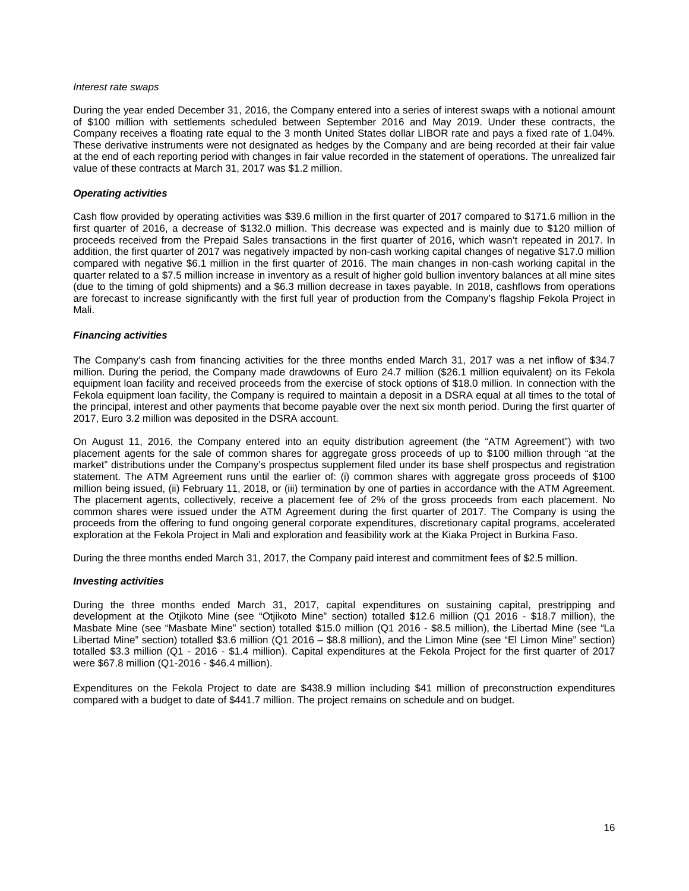#### *Interest rate swaps*

During the year ended December 31, 2016, the Company entered into a series of interest swaps with a notional amount of \$100 million with settlements scheduled between September 2016 and May 2019. Under these contracts, the Company receives a floating rate equal to the 3 month United States dollar LIBOR rate and pays a fixed rate of 1.04%. These derivative instruments were not designated as hedges by the Company and are being recorded at their fair value at the end of each reporting period with changes in fair value recorded in the statement of operations. The unrealized fair value of these contracts at March 31, 2017 was \$1.2 million.

### *Operating activities*

Cash flow provided by operating activities was \$39.6 million in the first quarter of 2017 compared to \$171.6 million in the first quarter of 2016, a decrease of \$132.0 million. This decrease was expected and is mainly due to \$120 million of proceeds received from the Prepaid Sales transactions in the first quarter of 2016, which wasn't repeated in 2017. In addition, the first quarter of 2017 was negatively impacted by non-cash working capital changes of negative \$17.0 million compared with negative \$6.1 million in the first quarter of 2016. The main changes in non-cash working capital in the quarter related to a \$7.5 million increase in inventory as a result of higher gold bullion inventory balances at all mine sites (due to the timing of gold shipments) and a \$6.3 million decrease in taxes payable. In 2018, cashflows from operations are forecast to increase significantly with the first full year of production from the Company's flagship Fekola Project in Mali.

### *Financing activities*

The Company's cash from financing activities for the three months ended March 31, 2017 was a net inflow of \$34.7 million. During the period, the Company made drawdowns of Euro 24.7 million (\$26.1 million equivalent) on its Fekola equipment loan facility and received proceeds from the exercise of stock options of \$18.0 million. In connection with the Fekola equipment loan facility, the Company is required to maintain a deposit in a DSRA equal at all times to the total of the principal, interest and other payments that become payable over the next six month period. During the first quarter of 2017, Euro 3.2 million was deposited in the DSRA account.

On August 11, 2016, the Company entered into an equity distribution agreement (the "ATM Agreement") with two placement agents for the sale of common shares for aggregate gross proceeds of up to \$100 million through "at the market" distributions under the Company's prospectus supplement filed under its base shelf prospectus and registration statement. The ATM Agreement runs until the earlier of: (i) common shares with aggregate gross proceeds of \$100 million being issued, (ii) February 11, 2018, or (iii) termination by one of parties in accordance with the ATM Agreement. The placement agents, collectively, receive a placement fee of 2% of the gross proceeds from each placement. No common shares were issued under the ATM Agreement during the first quarter of 2017. The Company is using the proceeds from the offering to fund ongoing general corporate expenditures, discretionary capital programs, accelerated exploration at the Fekola Project in Mali and exploration and feasibility work at the Kiaka Project in Burkina Faso.

During the three months ended March 31, 2017, the Company paid interest and commitment fees of \$2.5 million.

#### *Investing activities*

During the three months ended March 31, 2017, capital expenditures on sustaining capital, prestripping and development at the Otjikoto Mine (see "Otjikoto Mine" section) totalled \$12.6 million (Q1 2016 - \$18.7 million), the Masbate Mine (see "Masbate Mine" section) totalled \$15.0 million (Q1 2016 - \$8.5 million), the Libertad Mine (see "La Libertad Mine" section) totalled \$3.6 million (Q1 2016 – \$8.8 million), and the Limon Mine (see "El Limon Mine" section) totalled \$3.3 million (Q1 - 2016 - \$1.4 million). Capital expenditures at the Fekola Project for the first quarter of 2017 were \$67.8 million (Q1-2016 - \$46.4 million).

Expenditures on the Fekola Project to date are \$438.9 million including \$41 million of preconstruction expenditures compared with a budget to date of \$441.7 million. The project remains on schedule and on budget.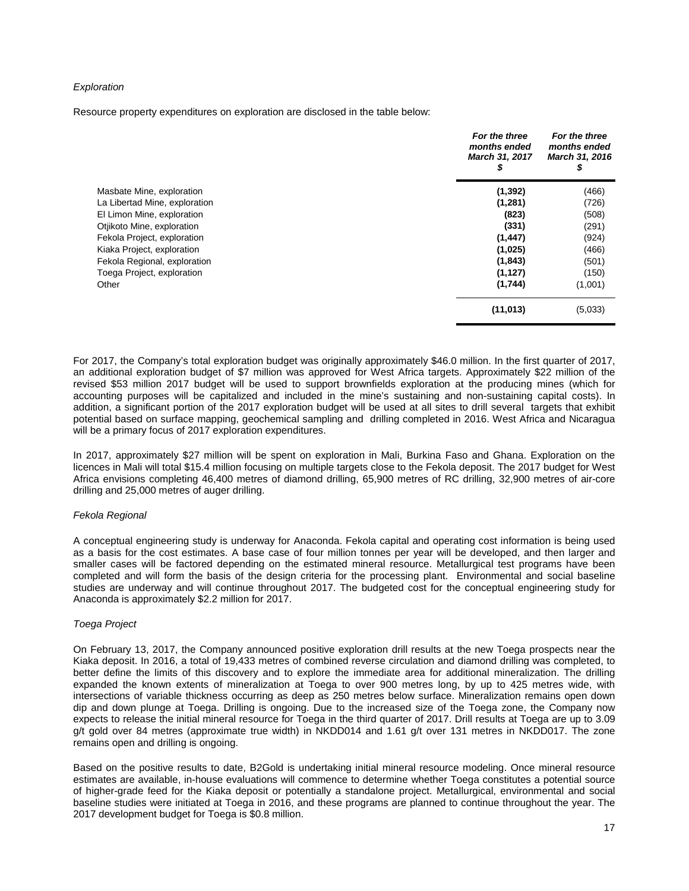### *Exploration*

Resource property expenditures on exploration are disclosed in the table below:

|                               | For the three<br>months ended<br><b>March 31, 2017</b><br>S | For the three<br>months ended<br>March 31, 2016<br>\$ |
|-------------------------------|-------------------------------------------------------------|-------------------------------------------------------|
| Masbate Mine, exploration     | (1, 392)                                                    | (466)                                                 |
| La Libertad Mine, exploration | (1, 281)                                                    | (726)                                                 |
| El Limon Mine, exploration    | (823)                                                       | (508)                                                 |
| Otjikoto Mine, exploration    | (331)                                                       | (291)                                                 |
| Fekola Project, exploration   | (1, 447)                                                    | (924)                                                 |
| Kiaka Project, exploration    | (1,025)                                                     | (466)                                                 |
| Fekola Regional, exploration  | (1, 843)                                                    | (501)                                                 |
| Toega Project, exploration    | (1, 127)                                                    | (150)                                                 |
| Other                         | (1,744)                                                     | (1,001)                                               |
|                               | (11, 013)                                                   | (5,033)                                               |

For 2017, the Company's total exploration budget was originally approximately \$46.0 million. In the first quarter of 2017, an additional exploration budget of \$7 million was approved for West Africa targets. Approximately \$22 million of the revised \$53 million 2017 budget will be used to support brownfields exploration at the producing mines (which for accounting purposes will be capitalized and included in the mine's sustaining and non-sustaining capital costs). In addition, a significant portion of the 2017 exploration budget will be used at all sites to drill several targets that exhibit potential based on surface mapping, geochemical sampling and drilling completed in 2016. West Africa and Nicaragua will be a primary focus of 2017 exploration expenditures.

In 2017, approximately \$27 million will be spent on exploration in Mali, Burkina Faso and Ghana. Exploration on the licences in Mali will total \$15.4 million focusing on multiple targets close to the Fekola deposit. The 2017 budget for West Africa envisions completing 46,400 metres of diamond drilling, 65,900 metres of RC drilling, 32,900 metres of air-core drilling and 25,000 metres of auger drilling.

#### *Fekola Regional*

A conceptual engineering study is underway for Anaconda. Fekola capital and operating cost information is being used as a basis for the cost estimates. A base case of four million tonnes per year will be developed, and then larger and smaller cases will be factored depending on the estimated mineral resource. Metallurgical test programs have been completed and will form the basis of the design criteria for the processing plant. Environmental and social baseline studies are underway and will continue throughout 2017. The budgeted cost for the conceptual engineering study for Anaconda is approximately \$2.2 million for 2017.

#### *Toega Project*

On February 13, 2017, the Company announced positive exploration drill results at the new Toega prospects near the Kiaka deposit. In 2016, a total of 19,433 metres of combined reverse circulation and diamond drilling was completed, to better define the limits of this discovery and to explore the immediate area for additional mineralization. The drilling expanded the known extents of mineralization at Toega to over 900 metres long, by up to 425 metres wide, with intersections of variable thickness occurring as deep as 250 metres below surface. Mineralization remains open down dip and down plunge at Toega. Drilling is ongoing. Due to the increased size of the Toega zone, the Company now expects to release the initial mineral resource for Toega in the third quarter of 2017. Drill results at Toega are up to 3.09 g/t gold over 84 metres (approximate true width) in NKDD014 and 1.61 g/t over 131 metres in NKDD017. The zone remains open and drilling is ongoing.

Based on the positive results to date, B2Gold is undertaking initial mineral resource modeling. Once mineral resource estimates are available, in-house evaluations will commence to determine whether Toega constitutes a potential source of higher-grade feed for the Kiaka deposit or potentially a standalone project. Metallurgical, environmental and social baseline studies were initiated at Toega in 2016, and these programs are planned to continue throughout the year. The 2017 development budget for Toega is \$0.8 million.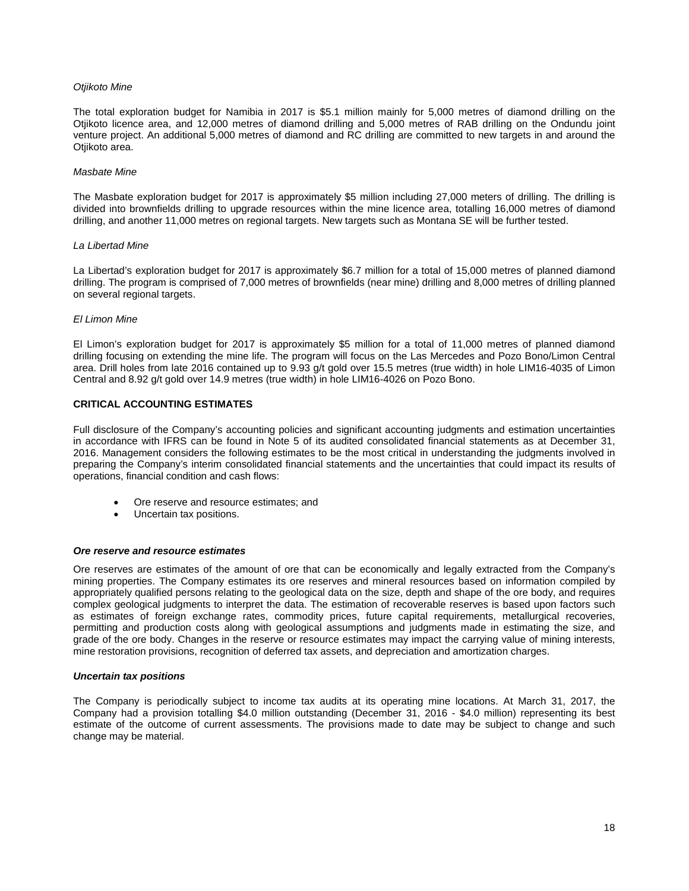### *Otjikoto Mine*

The total exploration budget for Namibia in 2017 is \$5.1 million mainly for 5,000 metres of diamond drilling on the Otjikoto licence area, and 12,000 metres of diamond drilling and 5,000 metres of RAB drilling on the Ondundu joint venture project. An additional 5,000 metres of diamond and RC drilling are committed to new targets in and around the Otjikoto area.

#### *Masbate Mine*

The Masbate exploration budget for 2017 is approximately \$5 million including 27,000 meters of drilling. The drilling is divided into brownfields drilling to upgrade resources within the mine licence area, totalling 16,000 metres of diamond drilling, and another 11,000 metres on regional targets. New targets such as Montana SE will be further tested.

#### *La Libertad Mine*

La Libertad's exploration budget for 2017 is approximately \$6.7 million for a total of 15,000 metres of planned diamond drilling. The program is comprised of 7,000 metres of brownfields (near mine) drilling and 8,000 metres of drilling planned on several regional targets.

#### *El Limon Mine*

El Limon's exploration budget for 2017 is approximately \$5 million for a total of 11,000 metres of planned diamond drilling focusing on extending the mine life. The program will focus on the Las Mercedes and Pozo Bono/Limon Central area. Drill holes from late 2016 contained up to 9.93 g/t gold over 15.5 metres (true width) in hole LIM16-4035 of Limon Central and 8.92 g/t gold over 14.9 metres (true width) in hole LIM16-4026 on Pozo Bono.

### **CRITICAL ACCOUNTING ESTIMATES**

Full disclosure of the Company's accounting policies and significant accounting judgments and estimation uncertainties in accordance with IFRS can be found in Note 5 of its audited consolidated financial statements as at December 31, 2016. Management considers the following estimates to be the most critical in understanding the judgments involved in preparing the Company's interim consolidated financial statements and the uncertainties that could impact its results of operations, financial condition and cash flows:

- Ore reserve and resource estimates; and
- Uncertain tax positions.

#### *Ore reserve and resource estimates*

Ore reserves are estimates of the amount of ore that can be economically and legally extracted from the Company's mining properties. The Company estimates its ore reserves and mineral resources based on information compiled by appropriately qualified persons relating to the geological data on the size, depth and shape of the ore body, and requires complex geological judgments to interpret the data. The estimation of recoverable reserves is based upon factors such as estimates of foreign exchange rates, commodity prices, future capital requirements, metallurgical recoveries, permitting and production costs along with geological assumptions and judgments made in estimating the size, and grade of the ore body. Changes in the reserve or resource estimates may impact the carrying value of mining interests, mine restoration provisions, recognition of deferred tax assets, and depreciation and amortization charges.

#### *Uncertain tax positions*

The Company is periodically subject to income tax audits at its operating mine locations. At March 31, 2017, the Company had a provision totalling \$4.0 million outstanding (December 31, 2016 - \$4.0 million) representing its best estimate of the outcome of current assessments. The provisions made to date may be subject to change and such change may be material.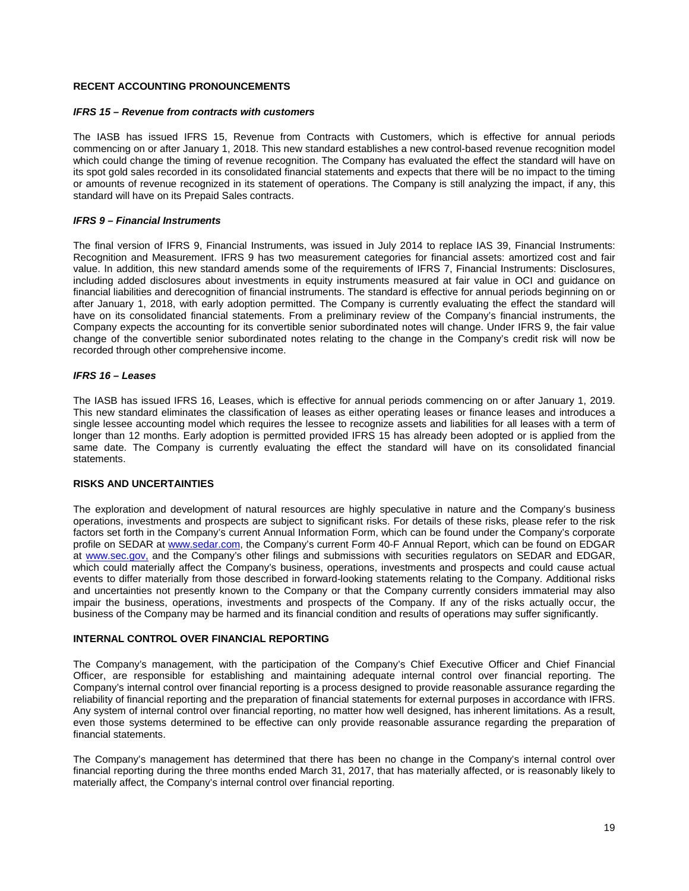# **RECENT ACCOUNTING PRONOUNCEMENTS**

### *IFRS 15 – Revenue from contracts with customers*

The IASB has issued IFRS 15, Revenue from Contracts with Customers, which is effective for annual periods commencing on or after January 1, 2018. This new standard establishes a new control-based revenue recognition model which could change the timing of revenue recognition. The Company has evaluated the effect the standard will have on its spot gold sales recorded in its consolidated financial statements and expects that there will be no impact to the timing or amounts of revenue recognized in its statement of operations. The Company is still analyzing the impact, if any, this standard will have on its Prepaid Sales contracts.

### *IFRS 9 – Financial Instruments*

The final version of IFRS 9, Financial Instruments, was issued in July 2014 to replace IAS 39, Financial Instruments: Recognition and Measurement. IFRS 9 has two measurement categories for financial assets: amortized cost and fair value. In addition, this new standard amends some of the requirements of IFRS 7, Financial Instruments: Disclosures, including added disclosures about investments in equity instruments measured at fair value in OCI and guidance on financial liabilities and derecognition of financial instruments. The standard is effective for annual periods beginning on or after January 1, 2018, with early adoption permitted. The Company is currently evaluating the effect the standard will have on its consolidated financial statements. From a preliminary review of the Company's financial instruments, the Company expects the accounting for its convertible senior subordinated notes will change. Under IFRS 9, the fair value change of the convertible senior subordinated notes relating to the change in the Company's credit risk will now be recorded through other comprehensive income.

### *IFRS 16 – Leases*

The IASB has issued IFRS 16, Leases, which is effective for annual periods commencing on or after January 1, 2019. This new standard eliminates the classification of leases as either operating leases or finance leases and introduces a single lessee accounting model which requires the lessee to recognize assets and liabilities for all leases with a term of longer than 12 months. Early adoption is permitted provided IFRS 15 has already been adopted or is applied from the same date. The Company is currently evaluating the effect the standard will have on its consolidated financial statements.

#### **RISKS AND UNCERTAINTIES**

The exploration and development of natural resources are highly speculative in nature and the Company's business operations, investments and prospects are subject to significant risks. For details of these risks, please refer to the risk factors set forth in the Company's current Annual Information Form, which can be found under the Company's corporate profile on SEDAR at [www.sedar.com,](http://www.sedar.com/) the Company's current Form 40-F Annual Report, which can be found on EDGAR at [www.sec.gov,](http://www.sec.gov/) and the Company's other filings and submissions with securities regulators on SEDAR and EDGAR, which could materially affect the Company's business, operations, investments and prospects and could cause actual events to differ materially from those described in forward-looking statements relating to the Company. Additional risks and uncertainties not presently known to the Company or that the Company currently considers immaterial may also impair the business, operations, investments and prospects of the Company. If any of the risks actually occur, the business of the Company may be harmed and its financial condition and results of operations may suffer significantly.

#### **INTERNAL CONTROL OVER FINANCIAL REPORTING**

The Company's management, with the participation of the Company's Chief Executive Officer and Chief Financial Officer, are responsible for establishing and maintaining adequate internal control over financial reporting. The Company's internal control over financial reporting is a process designed to provide reasonable assurance regarding the reliability of financial reporting and the preparation of financial statements for external purposes in accordance with IFRS. Any system of internal control over financial reporting, no matter how well designed, has inherent limitations. As a result, even those systems determined to be effective can only provide reasonable assurance regarding the preparation of financial statements.

The Company's management has determined that there has been no change in the Company's internal control over financial reporting during the three months ended March 31, 2017, that has materially affected, or is reasonably likely to materially affect, the Company's internal control over financial reporting.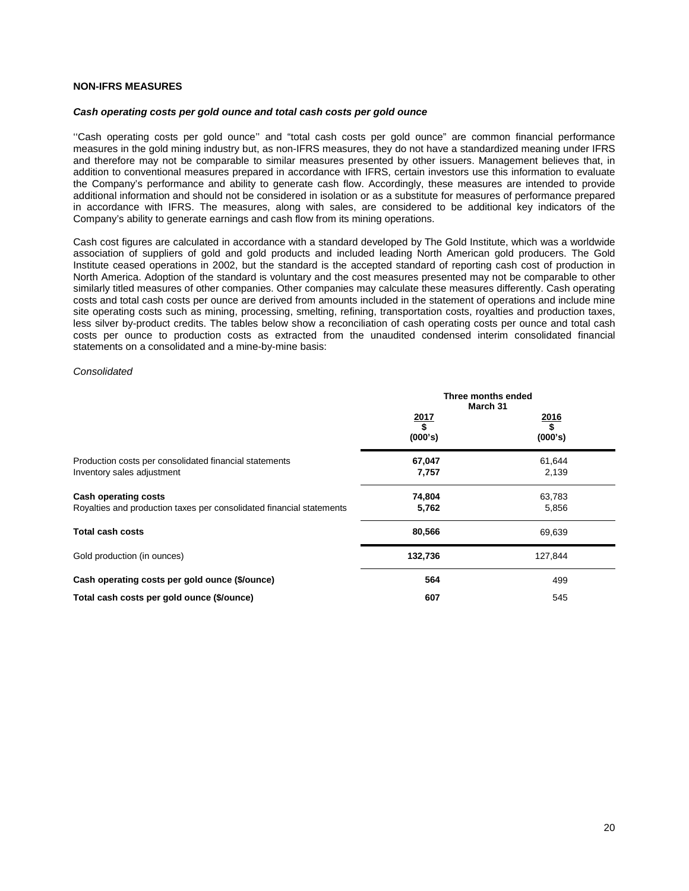## **NON-IFRS MEASURES**

#### *Cash operating costs per gold ounce and total cash costs per gold ounce*

''Cash operating costs per gold ounce'' and "total cash costs per gold ounce" are common financial performance measures in the gold mining industry but, as non-IFRS measures, they do not have a standardized meaning under IFRS and therefore may not be comparable to similar measures presented by other issuers. Management believes that, in addition to conventional measures prepared in accordance with IFRS, certain investors use this information to evaluate the Company's performance and ability to generate cash flow. Accordingly, these measures are intended to provide additional information and should not be considered in isolation or as a substitute for measures of performance prepared in accordance with IFRS. The measures, along with sales, are considered to be additional key indicators of the Company's ability to generate earnings and cash flow from its mining operations.

Cash cost figures are calculated in accordance with a standard developed by The Gold Institute, which was a worldwide association of suppliers of gold and gold products and included leading North American gold producers. The Gold Institute ceased operations in 2002, but the standard is the accepted standard of reporting cash cost of production in North America. Adoption of the standard is voluntary and the cost measures presented may not be comparable to other similarly titled measures of other companies. Other companies may calculate these measures differently. Cash operating costs and total cash costs per ounce are derived from amounts included in the statement of operations and include mine site operating costs such as mining, processing, smelting, refining, transportation costs, royalties and production taxes, less silver by-product credits. The tables below show a reconciliation of cash operating costs per ounce and total cash costs per ounce to production costs as extracted from the unaudited condensed interim consolidated financial statements on a consolidated and a mine-by-mine basis:

#### *Consolidated*

|                                                                                                     | Three months ended<br>March 31 |                              |  |
|-----------------------------------------------------------------------------------------------------|--------------------------------|------------------------------|--|
|                                                                                                     | $\frac{2017}{$}$<br>(000's)    | $\frac{2016}{\$}$<br>(000's) |  |
| Production costs per consolidated financial statements<br>Inventory sales adjustment                | 67,047<br>7,757                | 61,644<br>2,139              |  |
| <b>Cash operating costs</b><br>Royalties and production taxes per consolidated financial statements | 74,804<br>5,762                | 63,783<br>5,856              |  |
| <b>Total cash costs</b>                                                                             | 80,566                         | 69,639                       |  |
| Gold production (in ounces)                                                                         | 132,736                        | 127,844                      |  |
| Cash operating costs per gold ounce (\$/ounce)                                                      | 564                            | 499                          |  |
| Total cash costs per gold ounce (\$/ounce)                                                          | 607                            | 545                          |  |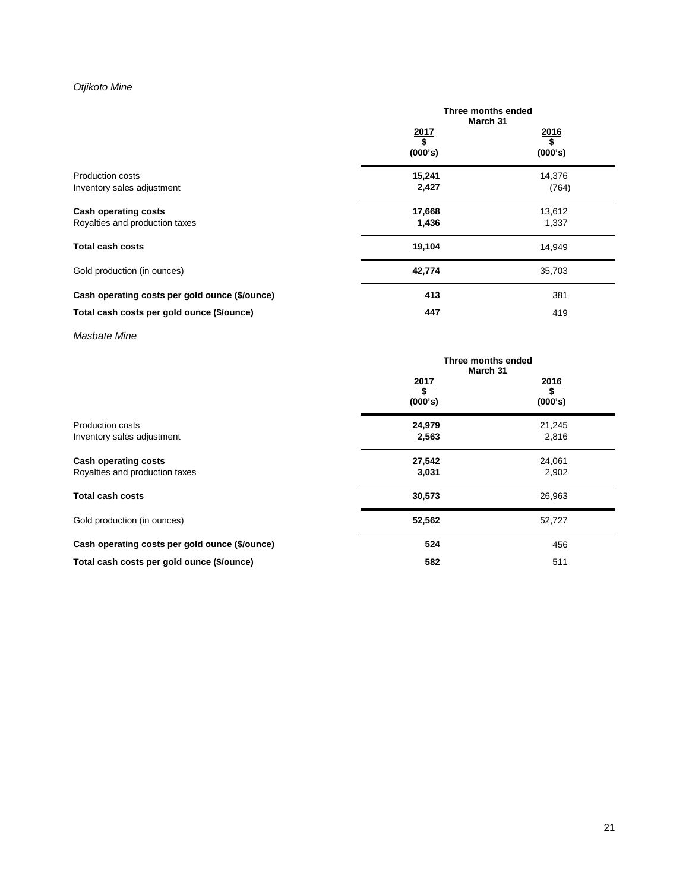# *Otjikoto Mine*

|                                                               | Three months ended<br>March 31 |                             |  |
|---------------------------------------------------------------|--------------------------------|-----------------------------|--|
|                                                               | $\frac{2017}{$}$<br>(000's)    | $\frac{2016}{$}$<br>(000's) |  |
| <b>Production costs</b><br>Inventory sales adjustment         | 15,241<br>2,427                | 14,376<br>(764)             |  |
| <b>Cash operating costs</b><br>Royalties and production taxes | 17,668<br>1,436                | 13,612<br>1,337             |  |
| <b>Total cash costs</b>                                       | 19,104                         | 14,949                      |  |
| Gold production (in ounces)                                   | 42,774                         | 35,703                      |  |
| Cash operating costs per gold ounce (\$/ounce)                | 413                            | 381                         |  |
| Total cash costs per gold ounce (\$/ounce)                    | 447                            | 419                         |  |

*Masbate Mine*

|                                                | Three months ended<br>March 31             |                       |
|------------------------------------------------|--------------------------------------------|-----------------------|
|                                                | 2017<br>$\overline{\mathbf{s}}$<br>(000's) | 2016<br>Ŝ,<br>(000's) |
| <b>Production costs</b>                        | 24,979                                     | 21,245                |
| Inventory sales adjustment                     | 2,563                                      | 2,816                 |
| <b>Cash operating costs</b>                    | 27,542                                     | 24,061                |
| Royalties and production taxes                 | 3,031                                      | 2,902                 |
| <b>Total cash costs</b>                        | 30,573                                     | 26,963                |
| Gold production (in ounces)                    | 52,562                                     | 52,727                |
| Cash operating costs per gold ounce (\$/ounce) | 524                                        | 456                   |
| Total cash costs per gold ounce (\$/ounce)     | 582                                        | 511                   |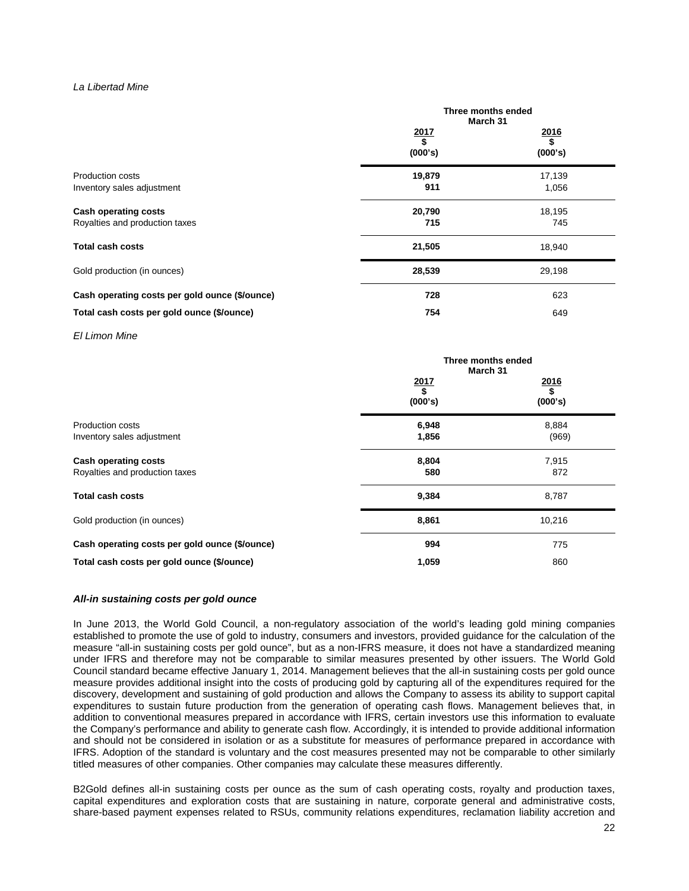### *La Libertad Mine*

|                                                               | Three months ended<br>March 31 |                              |
|---------------------------------------------------------------|--------------------------------|------------------------------|
|                                                               | $\frac{2017}{\$}$<br>(000's)   | <u>2016</u><br>\$<br>(000's) |
| Production costs<br>Inventory sales adjustment                | 19,879<br>911                  | 17,139<br>1,056              |
| <b>Cash operating costs</b><br>Royalties and production taxes | 20,790<br>715                  | 18,195<br>745                |
| <b>Total cash costs</b>                                       | 21,505                         | 18,940                       |
| Gold production (in ounces)                                   | 28,539                         | 29,198                       |
| Cash operating costs per gold ounce (\$/ounce)                | 728                            | 623                          |
| Total cash costs per gold ounce (\$/ounce)                    | 754                            | 649                          |

*El Limon Mine*

|                                                               | Three months ended<br>March 31 |                              |
|---------------------------------------------------------------|--------------------------------|------------------------------|
|                                                               | $\frac{2017}{$}$<br>(000's)    | $\frac{2016}{\$}$<br>(000's) |
| <b>Production costs</b><br>Inventory sales adjustment         | 6,948<br>1,856                 | 8,884<br>(969)               |
| <b>Cash operating costs</b><br>Royalties and production taxes | 8,804<br>580                   | 7,915<br>872                 |
| <b>Total cash costs</b>                                       | 9,384                          | 8,787                        |
| Gold production (in ounces)                                   | 8,861                          | 10,216                       |
| Cash operating costs per gold ounce (\$/ounce)                | 994                            | 775                          |
| Total cash costs per gold ounce (\$/ounce)                    | 1,059                          | 860                          |

#### *All-in sustaining costs per gold ounce*

In June 2013, the World Gold Council, a non-regulatory association of the world's leading gold mining companies established to promote the use of gold to industry, consumers and investors, provided guidance for the calculation of the measure "all-in sustaining costs per gold ounce", but as a non-IFRS measure, it does not have a standardized meaning under IFRS and therefore may not be comparable to similar measures presented by other issuers. The World Gold Council standard became effective January 1, 2014. Management believes that the all-in sustaining costs per gold ounce measure provides additional insight into the costs of producing gold by capturing all of the expenditures required for the discovery, development and sustaining of gold production and allows the Company to assess its ability to support capital expenditures to sustain future production from the generation of operating cash flows. Management believes that, in addition to conventional measures prepared in accordance with IFRS, certain investors use this information to evaluate the Company's performance and ability to generate cash flow. Accordingly, it is intended to provide additional information and should not be considered in isolation or as a substitute for measures of performance prepared in accordance with IFRS. Adoption of the standard is voluntary and the cost measures presented may not be comparable to other similarly titled measures of other companies. Other companies may calculate these measures differently.

B2Gold defines all-in sustaining costs per ounce as the sum of cash operating costs, royalty and production taxes, capital expenditures and exploration costs that are sustaining in nature, corporate general and administrative costs, share-based payment expenses related to RSUs, community relations expenditures, reclamation liability accretion and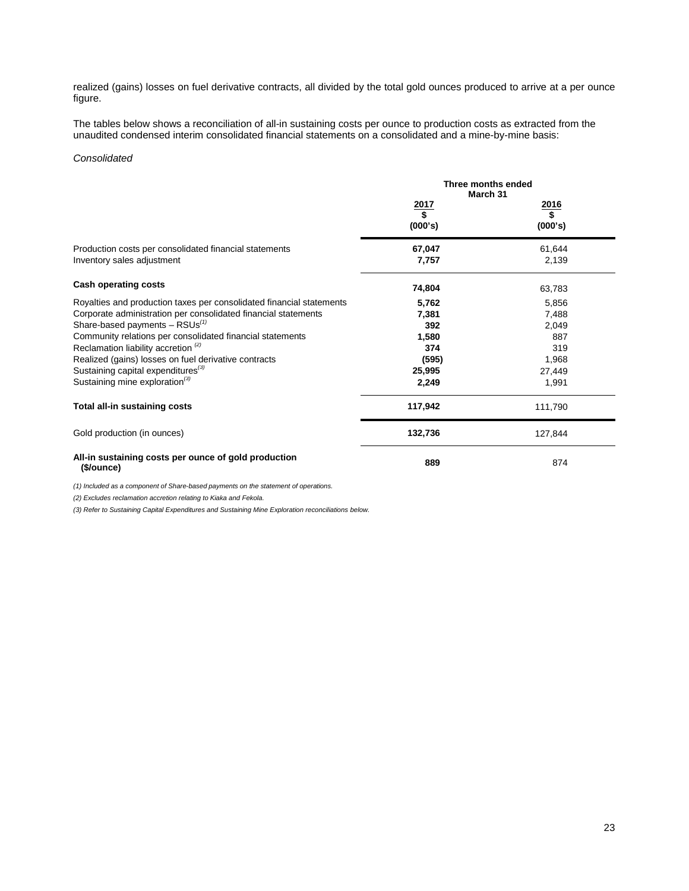realized (gains) losses on fuel derivative contracts, all divided by the total gold ounces produced to arrive at a per ounce figure.

The tables below shows a reconciliation of all-in sustaining costs per ounce to production costs as extracted from the unaudited condensed interim consolidated financial statements on a consolidated and a mine-by-mine basis:

### *Consolidated*

|                                                                      | Three months ended<br>March 31 |                  |
|----------------------------------------------------------------------|--------------------------------|------------------|
|                                                                      | $\frac{2017}{$}$               | $\frac{2016}{$}$ |
|                                                                      | (000's)                        | (000's)          |
| Production costs per consolidated financial statements               | 67,047                         | 61,644           |
| Inventory sales adjustment                                           | 7,757                          | 2,139            |
| <b>Cash operating costs</b>                                          | 74,804                         | 63,783           |
| Royalties and production taxes per consolidated financial statements | 5,762                          | 5,856            |
| Corporate administration per consolidated financial statements       | 7,381                          | 7,488            |
| Share-based payments $-$ RSUs <sup>(1)</sup>                         | 392                            | 2,049            |
| Community relations per consolidated financial statements            | 1,580                          | 887              |
| Reclamation liability accretion <sup>(2)</sup>                       | 374                            | 319              |
| Realized (gains) losses on fuel derivative contracts                 | (595)                          | 1,968            |
| Sustaining capital expenditures <sup>(3)</sup>                       | 25,995                         | 27,449           |
| Sustaining mine exploration $^{(3)}$                                 | 2,249                          | 1,991            |
| Total all-in sustaining costs                                        | 117,942                        | 111,790          |
| Gold production (in ounces)                                          | 132,736                        | 127,844          |
| All-in sustaining costs per ounce of gold production<br>(\$/ounce)   | 889                            | 874              |

*(1) Included as a component of Share-based payments on the statement of operations.* 

*(2) Excludes reclamation accretion relating to Kiaka and Fekola.*

*(3) Refer to Sustaining Capital Expenditures and Sustaining Mine Exploration reconciliations below.*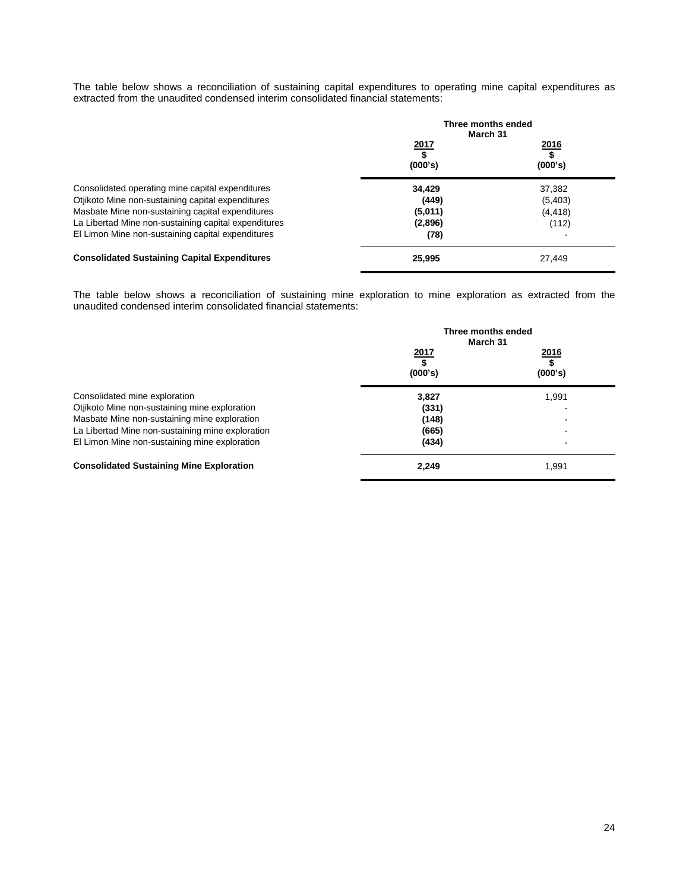The table below shows a reconciliation of sustaining capital expenditures to operating mine capital expenditures as extracted from the unaudited condensed interim consolidated financial statements:

|                                                                                                           | Three months ended<br>March 31 |                               |
|-----------------------------------------------------------------------------------------------------------|--------------------------------|-------------------------------|
|                                                                                                           | <u> 2017 </u><br>\$<br>(000's) | <u> 2016</u><br>\$<br>(000's) |
| Consolidated operating mine capital expenditures<br>Otjikoto Mine non-sustaining capital expenditures     | 34.429<br>(449)                | 37,382<br>(5,403)             |
| Masbate Mine non-sustaining capital expenditures                                                          | (5,011)                        | (4, 418)                      |
| La Libertad Mine non-sustaining capital expenditures<br>El Limon Mine non-sustaining capital expenditures | (2,896)<br>(78)                | (112)                         |
| <b>Consolidated Sustaining Capital Expenditures</b>                                                       | 25,995                         | 27.449                        |

The table below shows a reconciliation of sustaining mine exploration to mine exploration as extracted from the unaudited condensed interim consolidated financial statements:

|                                                  | Three months ended<br>March 31 |                               |
|--------------------------------------------------|--------------------------------|-------------------------------|
|                                                  | <u> 2017</u><br>(000's)        | <u> 2016</u><br>\$<br>(000's) |
| Consolidated mine exploration                    | 3,827                          | 1,991                         |
| Otjikoto Mine non-sustaining mine exploration    | (331)                          |                               |
| Masbate Mine non-sustaining mine exploration     | (148)                          |                               |
| La Libertad Mine non-sustaining mine exploration | (665)                          |                               |
| El Limon Mine non-sustaining mine exploration    | (434)                          |                               |
| <b>Consolidated Sustaining Mine Exploration</b>  | 2,249                          | 1,991                         |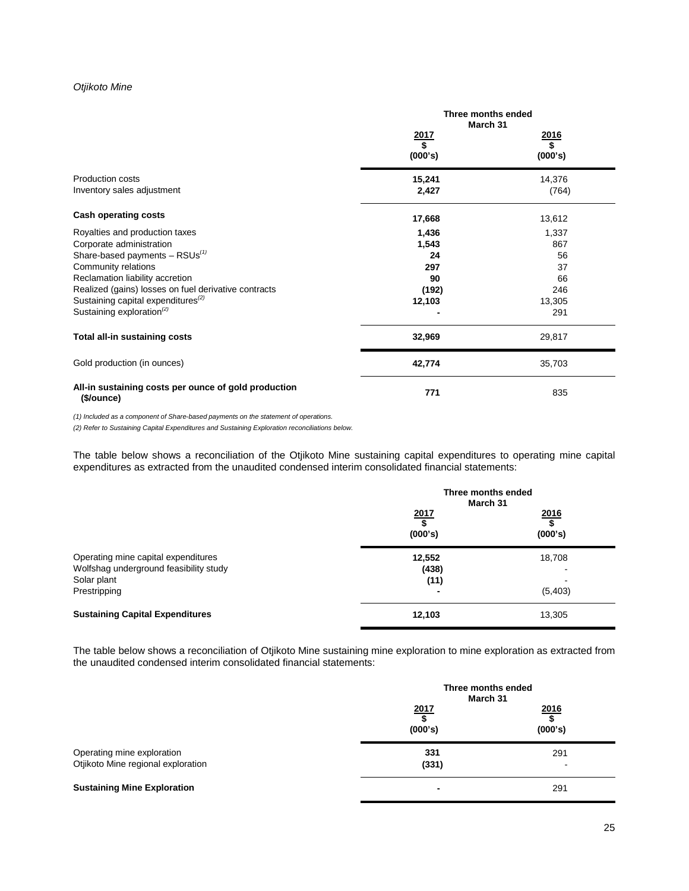# *Otjikoto Mine*

|                                                                    | Three months ended<br>March 31 |                  |
|--------------------------------------------------------------------|--------------------------------|------------------|
|                                                                    | $\frac{2017}{$}$               | $\frac{2016}{$}$ |
|                                                                    | (000's)                        | (000's)          |
| <b>Production costs</b>                                            | 15,241                         | 14,376           |
| Inventory sales adjustment                                         | 2,427                          | (764)            |
| <b>Cash operating costs</b>                                        | 17,668                         | 13,612           |
| Royalties and production taxes                                     | 1,436                          | 1,337            |
| Corporate administration                                           | 1,543                          | 867              |
| Share-based payments $-$ RSUs <sup>(1)</sup>                       | 24                             | 56               |
| Community relations                                                | 297                            | 37               |
| Reclamation liability accretion                                    | 90                             | 66               |
| Realized (gains) losses on fuel derivative contracts               | (192)                          | 246              |
| Sustaining capital expenditures <sup>(2)</sup>                     | 12,103                         | 13,305           |
| Sustaining exploration <sup>(2)</sup>                              |                                | 291              |
| Total all-in sustaining costs                                      | 32,969                         | 29,817           |
| Gold production (in ounces)                                        | 42,774                         | 35,703           |
| All-in sustaining costs per ounce of gold production<br>(\$/ounce) | 771                            | 835              |

*(1) Included as a component of Share-based payments on the statement of operations.* 

*(2) Refer to Sustaining Capital Expenditures and Sustaining Exploration reconciliations below.*

The table below shows a reconciliation of the Otjikoto Mine sustaining capital expenditures to operating mine capital expenditures as extracted from the unaudited condensed interim consolidated financial statements:

|                                                                                                              | Three months ended<br>March 31                      |                         |
|--------------------------------------------------------------------------------------------------------------|-----------------------------------------------------|-------------------------|
|                                                                                                              | 2017<br>\$<br>(000's)                               | 2016<br>\$<br>(000's)   |
| Operating mine capital expenditures<br>Wolfshag underground feasibility study<br>Solar plant<br>Prestripping | 12,552<br>(438)<br>(11)<br>$\overline{\phantom{0}}$ | 18,708<br>-<br>(5, 403) |
| <b>Sustaining Capital Expenditures</b>                                                                       | 12,103                                              | 13,305                  |

The table below shows a reconciliation of Otjikoto Mine sustaining mine exploration to mine exploration as extracted from the unaudited condensed interim consolidated financial statements:

|                                                                  | Three months ended<br>March 31 |                       |
|------------------------------------------------------------------|--------------------------------|-----------------------|
|                                                                  | 2017<br>(000's)                | 2016<br>\$<br>(000's) |
| Operating mine exploration<br>Otjikoto Mine regional exploration | 331<br>(331)                   | 291<br>-              |
| <b>Sustaining Mine Exploration</b>                               | ٠                              | 291                   |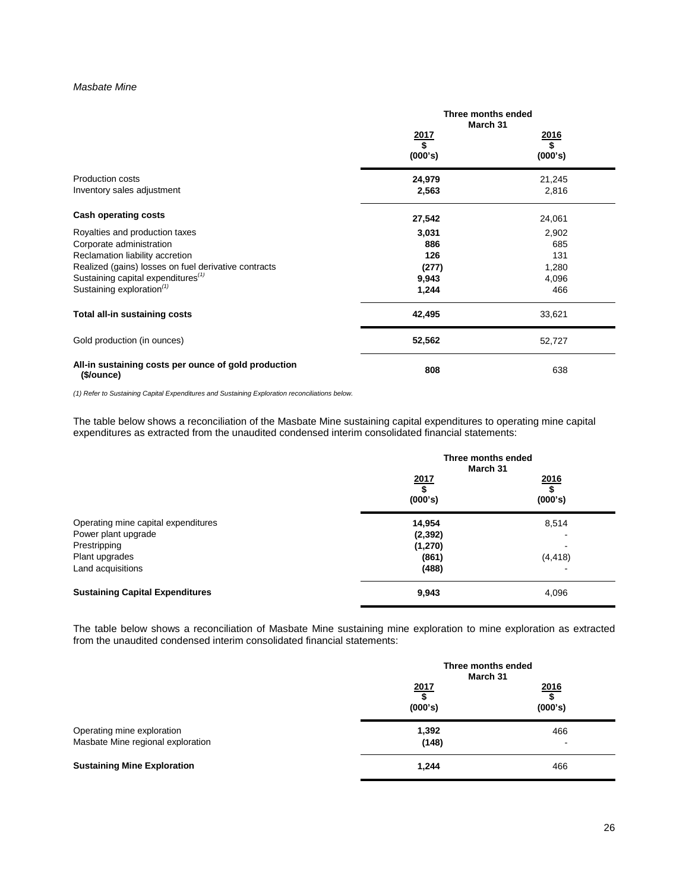### *Masbate Mine*

|                                                                    | Three months ended<br>March 31 |         |
|--------------------------------------------------------------------|--------------------------------|---------|
|                                                                    | <u> 2017 </u>                  | 2016    |
|                                                                    | \$<br>(000's)                  | (000's) |
| Production costs                                                   | 24,979                         | 21,245  |
| Inventory sales adjustment                                         | 2,563                          | 2,816   |
| <b>Cash operating costs</b>                                        | 27,542                         | 24,061  |
| Royalties and production taxes                                     | 3,031                          | 2,902   |
| Corporate administration                                           | 886                            | 685     |
| Reclamation liability accretion                                    | 126                            | 131     |
| Realized (gains) losses on fuel derivative contracts               | (277)                          | 1,280   |
| Sustaining capital expenditures <sup>(1)</sup>                     | 9,943                          | 4,096   |
| Sustaining exploration <sup>(1)</sup>                              | 1,244                          | 466     |
| Total all-in sustaining costs                                      | 42,495                         | 33,621  |
| Gold production (in ounces)                                        | 52,562                         | 52,727  |
| All-in sustaining costs per ounce of gold production<br>(\$/ounce) | 808                            | 638     |

*(1) Refer to Sustaining Capital Expenditures and Sustaining Exploration reconciliations below.*

The table below shows a reconciliation of the Masbate Mine sustaining capital expenditures to operating mine capital expenditures as extracted from the unaudited condensed interim consolidated financial statements:

|                                                                                                                   | Three months ended<br>March 31                   |                       |
|-------------------------------------------------------------------------------------------------------------------|--------------------------------------------------|-----------------------|
|                                                                                                                   | $\frac{2017}{$}$<br>(000's)                      | 2016<br>\$<br>(000's) |
| Operating mine capital expenditures<br>Power plant upgrade<br>Prestripping<br>Plant upgrades<br>Land acquisitions | 14,954<br>(2, 392)<br>(1, 270)<br>(861)<br>(488) | 8,514<br>(4, 418)     |
| <b>Sustaining Capital Expenditures</b>                                                                            | 9,943                                            | 4,096                 |

The table below shows a reconciliation of Masbate Mine sustaining mine exploration to mine exploration as extracted from the unaudited condensed interim consolidated financial statements:

|                                                                 | Three months ended<br>March 31 |                 |
|-----------------------------------------------------------------|--------------------------------|-----------------|
|                                                                 | 2017<br>(000's)                | 2016<br>(000's) |
| Operating mine exploration<br>Masbate Mine regional exploration | 1,392<br>(148)                 | 466<br>-        |
| <b>Sustaining Mine Exploration</b>                              | 1,244                          | 466             |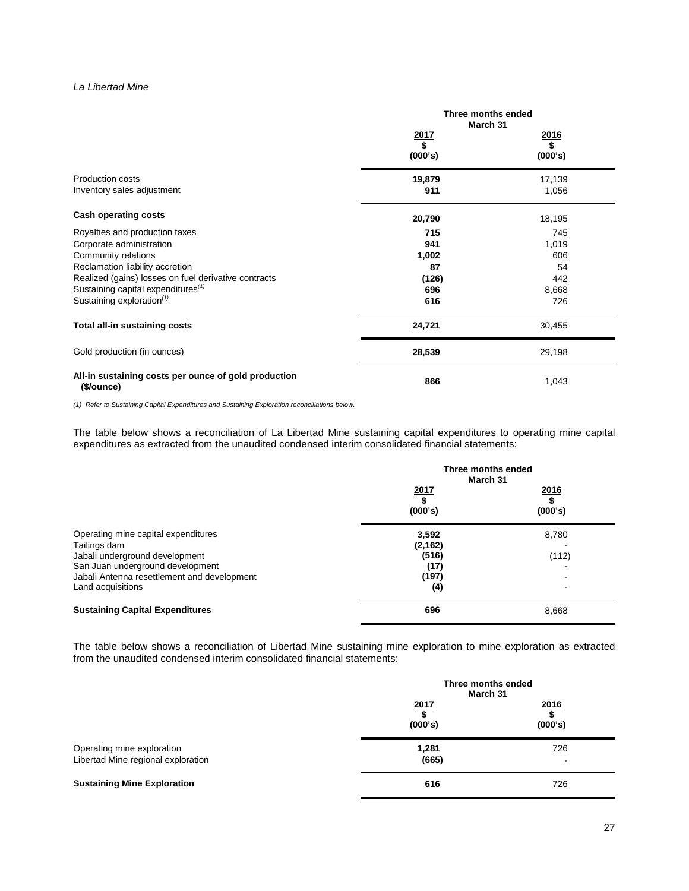### *La Libertad Mine*

|                                                                    | Three months ended<br>March 31 |                   |  |
|--------------------------------------------------------------------|--------------------------------|-------------------|--|
|                                                                    | $\frac{2017}{\$}$              | $\frac{2016}{\$}$ |  |
|                                                                    | (000's)                        | (000's)           |  |
| <b>Production costs</b>                                            | 19,879                         | 17,139            |  |
| Inventory sales adjustment                                         | 911                            | 1,056             |  |
| <b>Cash operating costs</b>                                        | 20,790                         | 18,195            |  |
| Royalties and production taxes                                     | 715                            | 745               |  |
| Corporate administration                                           | 941                            | 1,019             |  |
| Community relations                                                | 1,002                          | 606               |  |
| Reclamation liability accretion                                    | 87                             | 54                |  |
| Realized (gains) losses on fuel derivative contracts               | (126)                          | 442               |  |
| Sustaining capital expenditures <sup>(1)</sup>                     | 696                            | 8,668             |  |
| Sustaining exploration <sup>(1)</sup>                              | 616                            | 726               |  |
| Total all-in sustaining costs                                      | 24,721                         | 30,455            |  |
| Gold production (in ounces)                                        | 28,539                         | 29,198            |  |
| All-in sustaining costs per ounce of gold production<br>(\$/ounce) | 866                            | 1,043             |  |

*(1) Refer to Sustaining Capital Expenditures and Sustaining Exploration reconciliations below.*

The table below shows a reconciliation of La Libertad Mine sustaining capital expenditures to operating mine capital expenditures as extracted from the unaudited condensed interim consolidated financial statements:

|                                                                    |                   | Three months ended<br>March 31 |  |  |
|--------------------------------------------------------------------|-------------------|--------------------------------|--|--|
|                                                                    | 2017<br>(000's)   | 2016<br>(000's)                |  |  |
| Operating mine capital expenditures<br>Tailings dam                | 3,592<br>(2, 162) | 8,780                          |  |  |
| Jabali underground development<br>San Juan underground development | (516)<br>(17)     | (112)                          |  |  |
| Jabali Antenna resettlement and development<br>Land acquisitions   | (197)<br>(4)      |                                |  |  |
| <b>Sustaining Capital Expenditures</b>                             | 696               | 8,668                          |  |  |

The table below shows a reconciliation of Libertad Mine sustaining mine exploration to mine exploration as extracted from the unaudited condensed interim consolidated financial statements:

|                                                                  | Three months ended<br>March 31 |                       |  |
|------------------------------------------------------------------|--------------------------------|-----------------------|--|
|                                                                  | 2017<br>(000's)                | 2016<br>\$<br>(000's) |  |
| Operating mine exploration<br>Libertad Mine regional exploration | 1,281<br>(665)                 | 726                   |  |
| <b>Sustaining Mine Exploration</b>                               | 616                            | 726                   |  |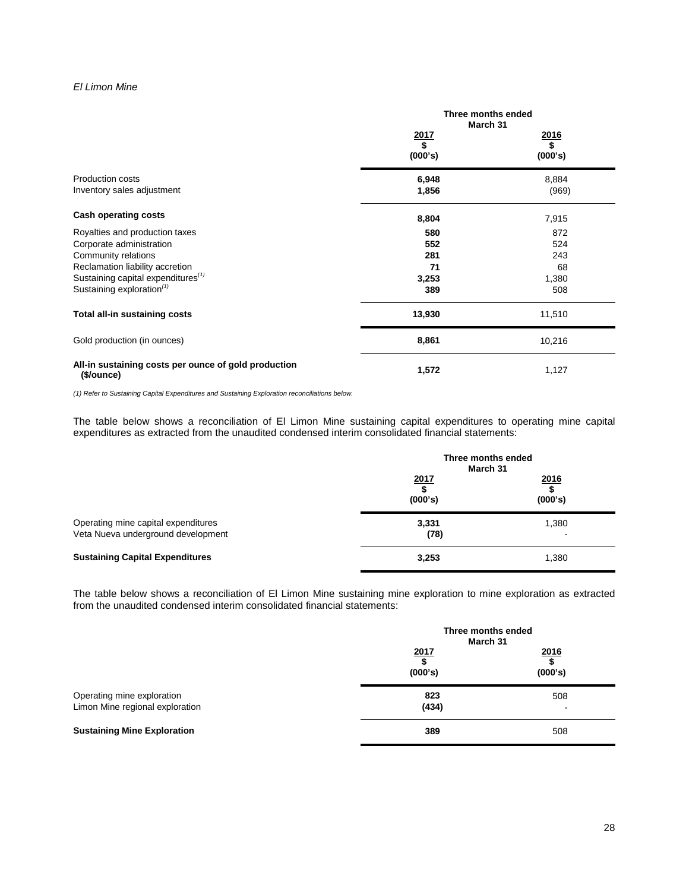# *El Limon Mine*

|                                                                    | Three months ended<br>March 31 |                              |  |
|--------------------------------------------------------------------|--------------------------------|------------------------------|--|
|                                                                    | $\frac{2017}{$}$<br>(000's)    | <u>2016</u><br>\$<br>(000's) |  |
| <b>Production costs</b><br>Inventory sales adjustment              | 6,948<br>1,856                 | 8,884<br>(969)               |  |
| <b>Cash operating costs</b>                                        | 8,804                          | 7,915                        |  |
| Royalties and production taxes                                     | 580                            | 872                          |  |
| Corporate administration<br>Community relations                    | 552<br>281                     | 524                          |  |
|                                                                    |                                | 243                          |  |
| Reclamation liability accretion                                    | 71                             | 68                           |  |
| Sustaining capital expenditures <sup>(1)</sup>                     | 3,253                          | 1,380                        |  |
| Sustaining exploration <sup>(1)</sup>                              | 389                            | 508                          |  |
| Total all-in sustaining costs                                      | 13,930                         | 11,510                       |  |
| Gold production (in ounces)                                        | 8,861                          | 10,216                       |  |
| All-in sustaining costs per ounce of gold production<br>(\$/ounce) | 1,572                          | 1,127                        |  |

*(1) Refer to Sustaining Capital Expenditures and Sustaining Exploration reconciliations below.*

The table below shows a reconciliation of El Limon Mine sustaining capital expenditures to operating mine capital expenditures as extracted from the unaudited condensed interim consolidated financial statements:

|                                                                           | Three months ended<br>March 31             |                       |  |
|---------------------------------------------------------------------------|--------------------------------------------|-----------------------|--|
|                                                                           | 2017<br>$\overline{\mathbf{s}}$<br>(000's) | 2016<br>S,<br>(000's) |  |
| Operating mine capital expenditures<br>Veta Nueva underground development | 3,331<br>(78)                              | 1,380                 |  |
| <b>Sustaining Capital Expenditures</b>                                    | 3,253                                      | 1,380                 |  |

The table below shows a reconciliation of El Limon Mine sustaining mine exploration to mine exploration as extracted from the unaudited condensed interim consolidated financial statements:

|                                                               | Three months ended<br>March 31 |                       |  |
|---------------------------------------------------------------|--------------------------------|-----------------------|--|
|                                                               | $\frac{2017}{\$}$<br>(000's)   | 2016<br>\$<br>(000's) |  |
| Operating mine exploration<br>Limon Mine regional exploration | 823<br>(434)                   | 508<br>-              |  |
| <b>Sustaining Mine Exploration</b>                            | 389                            | 508                   |  |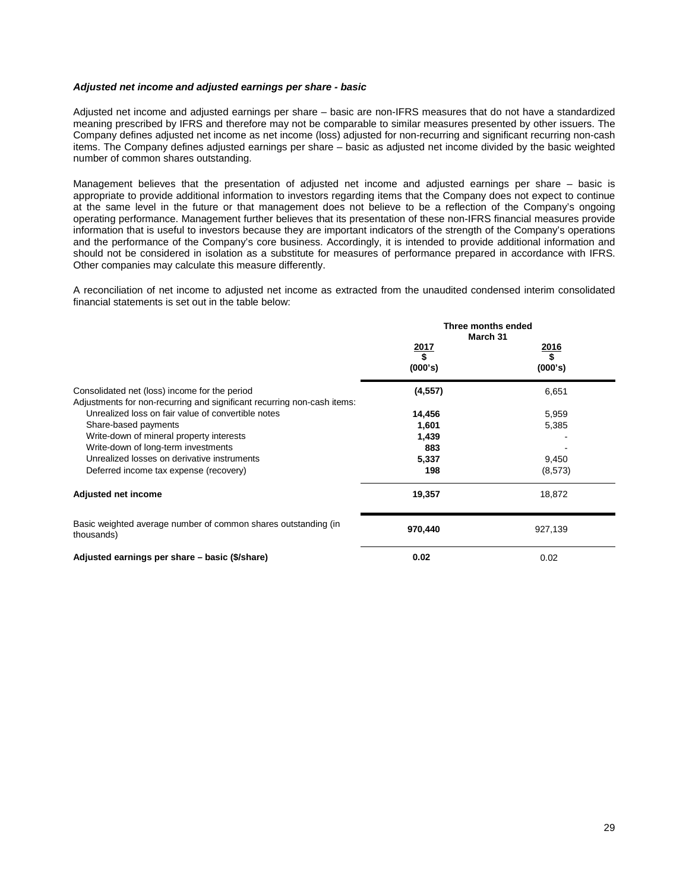### *Adjusted net income and adjusted earnings per share - basic*

Adjusted net income and adjusted earnings per share – basic are non-IFRS measures that do not have a standardized meaning prescribed by IFRS and therefore may not be comparable to similar measures presented by other issuers. The Company defines adjusted net income as net income (loss) adjusted for non-recurring and significant recurring non-cash items. The Company defines adjusted earnings per share – basic as adjusted net income divided by the basic weighted number of common shares outstanding.

Management believes that the presentation of adjusted net income and adjusted earnings per share – basic is appropriate to provide additional information to investors regarding items that the Company does not expect to continue at the same level in the future or that management does not believe to be a reflection of the Company's ongoing operating performance. Management further believes that its presentation of these non-IFRS financial measures provide information that is useful to investors because they are important indicators of the strength of the Company's operations and the performance of the Company's core business. Accordingly, it is intended to provide additional information and should not be considered in isolation as a substitute for measures of performance prepared in accordance with IFRS. Other companies may calculate this measure differently.

A reconciliation of net income to adjusted net income as extracted from the unaudited condensed interim consolidated financial statements is set out in the table below:

|                                                                                                                          | Three months ended<br>March 31 |                  |  |  |
|--------------------------------------------------------------------------------------------------------------------------|--------------------------------|------------------|--|--|
|                                                                                                                          | $\frac{2017}{$}$               | $\frac{2016}{$}$ |  |  |
|                                                                                                                          | (000's)                        | (000's)          |  |  |
| Consolidated net (loss) income for the period<br>Adjustments for non-recurring and significant recurring non-cash items: | (4, 557)                       | 6,651            |  |  |
| Unrealized loss on fair value of convertible notes                                                                       | 14,456                         | 5,959            |  |  |
| Share-based payments                                                                                                     | 1,601                          | 5,385            |  |  |
| Write-down of mineral property interests                                                                                 | 1,439                          |                  |  |  |
| Write-down of long-term investments                                                                                      | 883                            |                  |  |  |
| Unrealized losses on derivative instruments                                                                              | 5,337                          | 9,450            |  |  |
| Deferred income tax expense (recovery)                                                                                   | 198                            | (8, 573)         |  |  |
| Adjusted net income                                                                                                      | 19,357                         | 18,872           |  |  |
| Basic weighted average number of common shares outstanding (in<br>thousands)                                             | 970,440                        | 927,139          |  |  |
| Adjusted earnings per share – basic (\$/share)                                                                           | 0.02                           | 0.02             |  |  |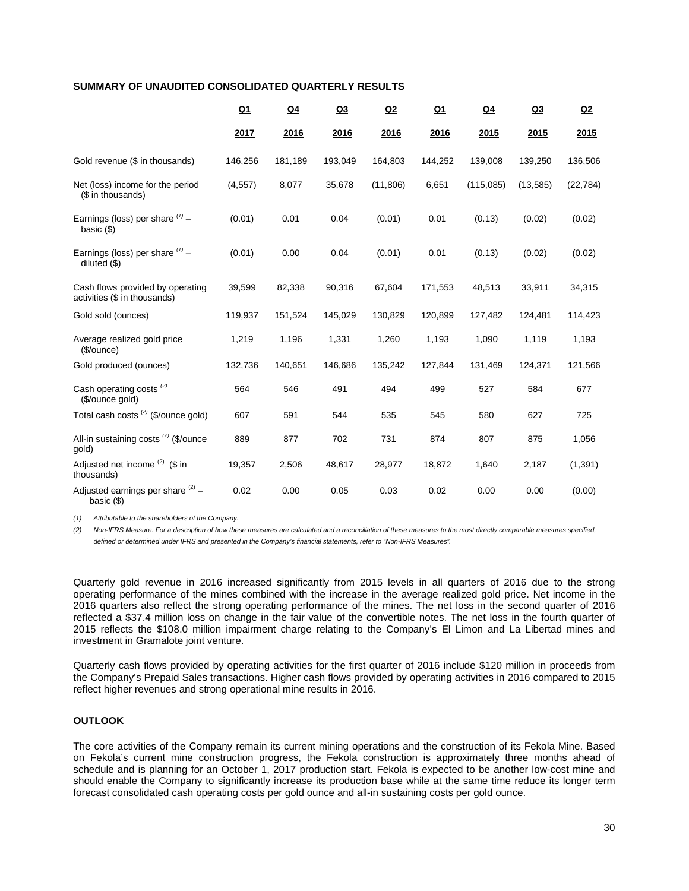### **SUMMARY OF UNAUDITED CONSOLIDATED QUARTERLY RESULTS**

|                                                                  | $Q_1$    | $Q_4$   | Q3      | Q2        | $Q_1$   | $Q_4$     | Q3        | Q2        |
|------------------------------------------------------------------|----------|---------|---------|-----------|---------|-----------|-----------|-----------|
|                                                                  | 2017     | 2016    | 2016    | 2016      | 2016    | 2015      | 2015      | 2015      |
| Gold revenue (\$ in thousands)                                   | 146,256  | 181,189 | 193,049 | 164,803   | 144,252 | 139,008   | 139,250   | 136,506   |
| Net (loss) income for the period<br>(\$ in thousands)            | (4, 557) | 8,077   | 35,678  | (11, 806) | 6,651   | (115,085) | (13, 585) | (22, 784) |
| Earnings (loss) per share $(1)$ -<br>basic $($                   | (0.01)   | 0.01    | 0.04    | (0.01)    | 0.01    | (0.13)    | (0.02)    | (0.02)    |
| Earnings (loss) per share $(1)$ -<br>diluted $($ \$)             | (0.01)   | 0.00    | 0.04    | (0.01)    | 0.01    | (0.13)    | (0.02)    | (0.02)    |
| Cash flows provided by operating<br>activities (\$ in thousands) | 39,599   | 82,338  | 90,316  | 67,604    | 171,553 | 48,513    | 33,911    | 34,315    |
| Gold sold (ounces)                                               | 119,937  | 151,524 | 145,029 | 130,829   | 120,899 | 127,482   | 124,481   | 114,423   |
| Average realized gold price<br>(\$/ounce)                        | 1,219    | 1,196   | 1,331   | 1,260     | 1,193   | 1,090     | 1,119     | 1,193     |
| Gold produced (ounces)                                           | 132,736  | 140,651 | 146,686 | 135,242   | 127,844 | 131,469   | 124,371   | 121,566   |
| Cash operating costs <sup>(2)</sup><br>(\$/ounce gold)           | 564      | 546     | 491     | 494       | 499     | 527       | 584       | 677       |
| Total cash costs <sup>(2)</sup> (\$/ounce gold)                  | 607      | 591     | 544     | 535       | 545     | 580       | 627       | 725       |
| All-in sustaining costs <sup>(2)</sup> (\$/ounce<br>gold)        | 889      | 877     | 702     | 731       | 874     | 807       | 875       | 1,056     |
| Adjusted net income $(2)$ (\$ in<br>thousands)                   | 19,357   | 2,506   | 48,617  | 28,977    | 18,872  | 1,640     | 2,187     | (1, 391)  |
| Adjusted earnings per share $(2)$ -<br>basic $($                 | 0.02     | 0.00    | 0.05    | 0.03      | 0.02    | 0.00      | 0.00      | (0.00)    |

*(1) Attributable to the shareholders of the Company.*

*(2) Non-IFRS Measure. For a description of how these measures are calculated and a reconciliation of these measures to the most directly comparable measures specified, defined or determined under IFRS and presented in the Company's financial statements, refer to "Non-IFRS Measures".*

Quarterly gold revenue in 2016 increased significantly from 2015 levels in all quarters of 2016 due to the strong operating performance of the mines combined with the increase in the average realized gold price. Net income in the 2016 quarters also reflect the strong operating performance of the mines. The net loss in the second quarter of 2016 reflected a \$37.4 million loss on change in the fair value of the convertible notes. The net loss in the fourth quarter of 2015 reflects the \$108.0 million impairment charge relating to the Company's El Limon and La Libertad mines and investment in Gramalote joint venture.

Quarterly cash flows provided by operating activities for the first quarter of 2016 include \$120 million in proceeds from the Company's Prepaid Sales transactions. Higher cash flows provided by operating activities in 2016 compared to 2015 reflect higher revenues and strong operational mine results in 2016.

# **OUTLOOK**

The core activities of the Company remain its current mining operations and the construction of its Fekola Mine. Based on Fekola's current mine construction progress, the Fekola construction is approximately three months ahead of schedule and is planning for an October 1, 2017 production start. Fekola is expected to be another low-cost mine and should enable the Company to significantly increase its production base while at the same time reduce its longer term forecast consolidated cash operating costs per gold ounce and all-in sustaining costs per gold ounce.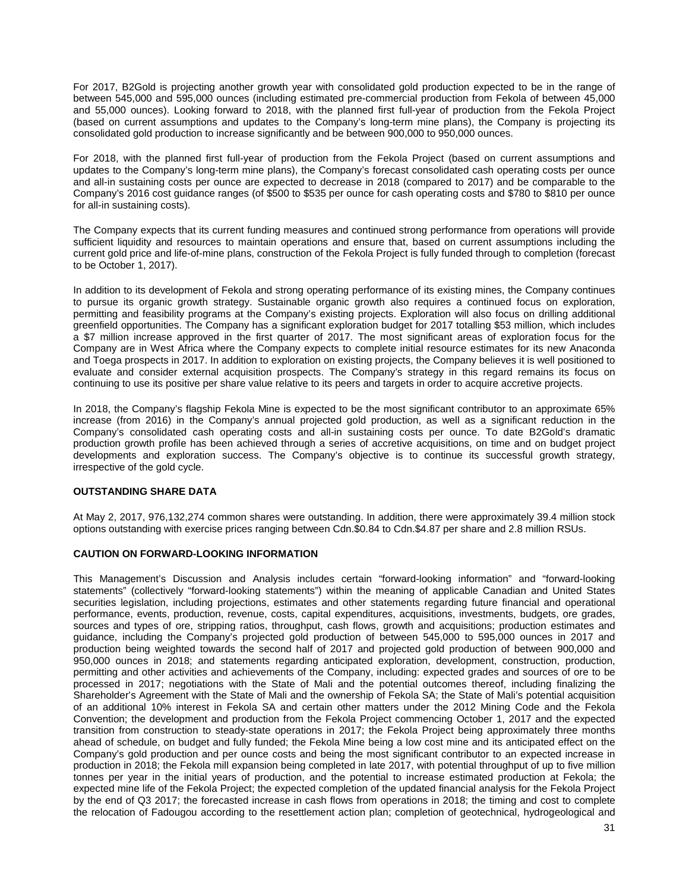For 2017, B2Gold is projecting another growth year with consolidated gold production expected to be in the range of between 545,000 and 595,000 ounces (including estimated pre-commercial production from Fekola of between 45,000 and 55,000 ounces). Looking forward to 2018, with the planned first full-year of production from the Fekola Project (based on current assumptions and updates to the Company's long-term mine plans), the Company is projecting its consolidated gold production to increase significantly and be between 900,000 to 950,000 ounces.

For 2018, with the planned first full-year of production from the Fekola Project (based on current assumptions and updates to the Company's long-term mine plans), the Company's forecast consolidated cash operating costs per ounce and all-in sustaining costs per ounce are expected to decrease in 2018 (compared to 2017) and be comparable to the Company's 2016 cost guidance ranges (of \$500 to \$535 per ounce for cash operating costs and \$780 to \$810 per ounce for all-in sustaining costs).

The Company expects that its current funding measures and continued strong performance from operations will provide sufficient liquidity and resources to maintain operations and ensure that, based on current assumptions including the current gold price and life-of-mine plans, construction of the Fekola Project is fully funded through to completion (forecast to be October 1, 2017).

In addition to its development of Fekola and strong operating performance of its existing mines, the Company continues to pursue its organic growth strategy. Sustainable organic growth also requires a continued focus on exploration, permitting and feasibility programs at the Company's existing projects. Exploration will also focus on drilling additional greenfield opportunities. The Company has a significant exploration budget for 2017 totalling \$53 million, which includes a \$7 million increase approved in the first quarter of 2017. The most significant areas of exploration focus for the Company are in West Africa where the Company expects to complete initial resource estimates for its new Anaconda and Toega prospects in 2017. In addition to exploration on existing projects, the Company believes it is well positioned to evaluate and consider external acquisition prospects. The Company's strategy in this regard remains its focus on continuing to use its positive per share value relative to its peers and targets in order to acquire accretive projects.

In 2018, the Company's flagship Fekola Mine is expected to be the most significant contributor to an approximate 65% increase (from 2016) in the Company's annual projected gold production, as well as a significant reduction in the Company's consolidated cash operating costs and all-in sustaining costs per ounce. To date B2Gold's dramatic production growth profile has been achieved through a series of accretive acquisitions, on time and on budget project developments and exploration success. The Company's objective is to continue its successful growth strategy, irrespective of the gold cycle.

# **OUTSTANDING SHARE DATA**

At May 2, 2017, 976,132,274 common shares were outstanding. In addition, there were approximately 39.4 million stock options outstanding with exercise prices ranging between Cdn.\$0.84 to Cdn.\$4.87 per share and 2.8 million RSUs.

# **CAUTION ON FORWARD-LOOKING INFORMATION**

This Management's Discussion and Analysis includes certain "forward-looking information" and "forward-looking statements" (collectively "forward-looking statements") within the meaning of applicable Canadian and United States securities legislation, including projections, estimates and other statements regarding future financial and operational performance, events, production, revenue, costs, capital expenditures, acquisitions, investments, budgets, ore grades, sources and types of ore, stripping ratios, throughput, cash flows, growth and acquisitions; production estimates and guidance, including the Company's projected gold production of between 545,000 to 595,000 ounces in 2017 and production being weighted towards the second half of 2017 and projected gold production of between 900,000 and 950,000 ounces in 2018; and statements regarding anticipated exploration, development, construction, production, permitting and other activities and achievements of the Company, including: expected grades and sources of ore to be processed in 2017; negotiations with the State of Mali and the potential outcomes thereof, including finalizing the Shareholder's Agreement with the State of Mali and the ownership of Fekola SA; the State of Mali's potential acquisition of an additional 10% interest in Fekola SA and certain other matters under the 2012 Mining Code and the Fekola Convention; the development and production from the Fekola Project commencing October 1, 2017 and the expected transition from construction to steady-state operations in 2017; the Fekola Project being approximately three months ahead of schedule, on budget and fully funded; the Fekola Mine being a low cost mine and its anticipated effect on the Company's gold production and per ounce costs and being the most significant contributor to an expected increase in production in 2018; the Fekola mill expansion being completed in late 2017, with potential throughput of up to five million tonnes per year in the initial years of production, and the potential to increase estimated production at Fekola; the expected mine life of the Fekola Project; the expected completion of the updated financial analysis for the Fekola Project by the end of Q3 2017; the forecasted increase in cash flows from operations in 2018; the timing and cost to complete the relocation of Fadougou according to the resettlement action plan; completion of geotechnical, hydrogeological and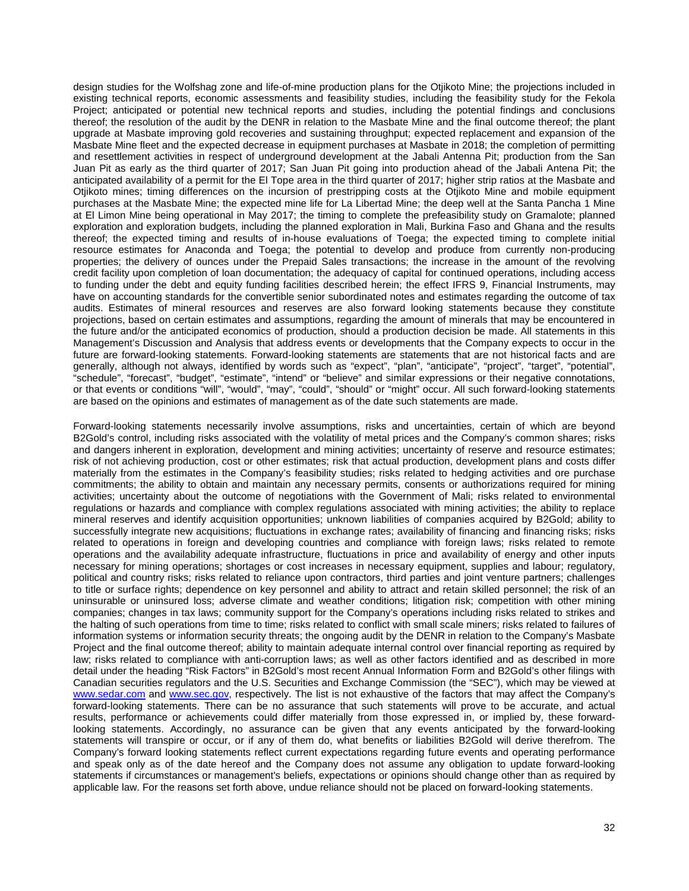design studies for the Wolfshag zone and life-of-mine production plans for the Otjikoto Mine; the projections included in existing technical reports, economic assessments and feasibility studies, including the feasibility study for the Fekola Project; anticipated or potential new technical reports and studies, including the potential findings and conclusions thereof; the resolution of the audit by the DENR in relation to the Masbate Mine and the final outcome thereof; the plant upgrade at Masbate improving gold recoveries and sustaining throughput; expected replacement and expansion of the Masbate Mine fleet and the expected decrease in equipment purchases at Masbate in 2018; the completion of permitting and resettlement activities in respect of underground development at the Jabali Antenna Pit; production from the San Juan Pit as early as the third quarter of 2017; San Juan Pit going into production ahead of the Jabali Antena Pit; the anticipated availability of a permit for the El Tope area in the third quarter of 2017; higher strip ratios at the Masbate and Otjikoto mines; timing differences on the incursion of prestripping costs at the Otjikoto Mine and mobile equipment purchases at the Masbate Mine; the expected mine life for La Libertad Mine; the deep well at the Santa Pancha 1 Mine at El Limon Mine being operational in May 2017; the timing to complete the prefeasibility study on Gramalote; planned exploration and exploration budgets, including the planned exploration in Mali, Burkina Faso and Ghana and the results thereof; the expected timing and results of in-house evaluations of Toega; the expected timing to complete initial resource estimates for Anaconda and Toega; the potential to develop and produce from currently non-producing properties; the delivery of ounces under the Prepaid Sales transactions; the increase in the amount of the revolving credit facility upon completion of loan documentation; the adequacy of capital for continued operations, including access to funding under the debt and equity funding facilities described herein; the effect IFRS 9, Financial Instruments, may have on accounting standards for the convertible senior subordinated notes and estimates regarding the outcome of tax audits. Estimates of mineral resources and reserves are also forward looking statements because they constitute projections, based on certain estimates and assumptions, regarding the amount of minerals that may be encountered in the future and/or the anticipated economics of production, should a production decision be made. All statements in this Management's Discussion and Analysis that address events or developments that the Company expects to occur in the future are forward-looking statements. Forward-looking statements are statements that are not historical facts and are generally, although not always, identified by words such as "expect", "plan", "anticipate", "project", "target", "potential", "schedule", "forecast", "budget", "estimate", "intend" or "believe" and similar expressions or their negative connotations, or that events or conditions "will", "would", "may", "could", "should" or "might" occur. All such forward-looking statements are based on the opinions and estimates of management as of the date such statements are made.

Forward-looking statements necessarily involve assumptions, risks and uncertainties, certain of which are beyond B2Gold's control, including risks associated with the volatility of metal prices and the Company's common shares; risks and dangers inherent in exploration, development and mining activities; uncertainty of reserve and resource estimates; risk of not achieving production, cost or other estimates; risk that actual production, development plans and costs differ materially from the estimates in the Company's feasibility studies; risks related to hedging activities and ore purchase commitments; the ability to obtain and maintain any necessary permits, consents or authorizations required for mining activities; uncertainty about the outcome of negotiations with the Government of Mali; risks related to environmental regulations or hazards and compliance with complex regulations associated with mining activities; the ability to replace mineral reserves and identify acquisition opportunities; unknown liabilities of companies acquired by B2Gold; ability to successfully integrate new acquisitions; fluctuations in exchange rates; availability of financing and financing risks; risks related to operations in foreign and developing countries and compliance with foreign laws; risks related to remote operations and the availability adequate infrastructure, fluctuations in price and availability of energy and other inputs necessary for mining operations; shortages or cost increases in necessary equipment, supplies and labour; regulatory, political and country risks; risks related to reliance upon contractors, third parties and joint venture partners; challenges to title or surface rights; dependence on key personnel and ability to attract and retain skilled personnel; the risk of an uninsurable or uninsured loss; adverse climate and weather conditions; litigation risk; competition with other mining companies; changes in tax laws; community support for the Company's operations including risks related to strikes and the halting of such operations from time to time; risks related to conflict with small scale miners; risks related to failures of information systems or information security threats; the ongoing audit by the DENR in relation to the Company's Masbate Project and the final outcome thereof; ability to maintain adequate internal control over financial reporting as required by law; risks related to compliance with anti-corruption laws; as well as other factors identified and as described in more detail under the heading "Risk Factors" in B2Gold's most recent Annual Information Form and B2Gold's other filings with Canadian securities regulators and the U.S. Securities and Exchange Commission (the "SEC"), which may be viewed at [www.sedar.com](http://www.sedar.com/) and [www.sec.gov,](http://www.sec.gov/) respectively. The list is not exhaustive of the factors that may affect the Company's forward-looking statements. There can be no assurance that such statements will prove to be accurate, and actual results, performance or achievements could differ materially from those expressed in, or implied by, these forwardlooking statements. Accordingly, no assurance can be given that any events anticipated by the forward-looking statements will transpire or occur, or if any of them do, what benefits or liabilities B2Gold will derive therefrom. The Company's forward looking statements reflect current expectations regarding future events and operating performance and speak only as of the date hereof and the Company does not assume any obligation to update forward-looking statements if circumstances or management's beliefs, expectations or opinions should change other than as required by applicable law. For the reasons set forth above, undue reliance should not be placed on forward-looking statements.